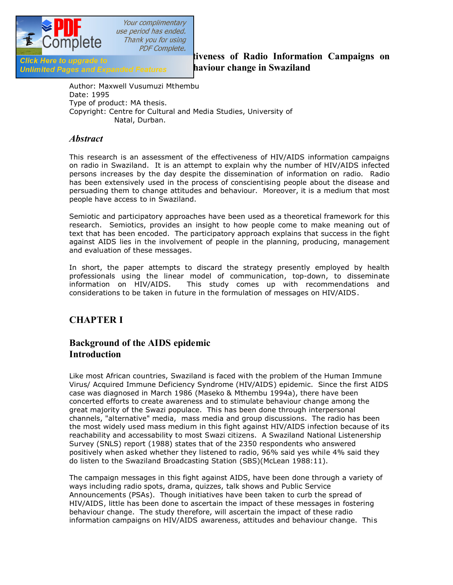

Your complimentary use period has ended. Thank you for using **PDF Complete.** 

**Unlimited Pages and Expanded Features haviour change in Swaziland** 

**An Assessment of Radio Information Campaigns on** *Click Here to upgrade to* **<b>and** *An Assessment of Radio Information Campaigns on* 

Author: Maxwell Vusumuzi Mthembu Date: 1995 Type of product: MA thesis. Copyright: Centre for Cultural and Media Studies, University of Natal, Durban.

### *Abstract*

This research is an assessment of the effectiveness of HIV/AIDS information campaigns on radio in Swaziland. It is an attempt to explain why the number of HIV/AIDS infected persons increases by the day despite the dissemination of information on radio. Radio has been extensively used in the process of conscientising people about the disease and persuading them to change attitudes and behaviour. Moreover, it is a medium that most people have access to in Swaziland.

Semiotic and participatory approaches have been used as a theoretical framework for this research. Semiotics, provides an insight to how people come to make meaning out of text that has been encoded. The participatory approach explains that success in the fight against AIDS lies in the involvement of people in the planning, producing, management and evaluation of these messages.

In short, the paper attempts to discard the strategy presently employed by health professionals using the linear model of communication, top-down, to disseminate information on HIV/AIDS. This study comes up with recommendations and considerations to be taken in future in the formulation of messages on HIV/AIDS.

# **CHAPTER I**

## **Background of the AIDS epidemic Introduction**

Like most African countries, Swaziland is faced with the problem of the Human Immune Virus/ Acquired Immune Deficiency Syndrome (HIV/AIDS) epidemic. Since the first AIDS case was diagnosed in March 1986 (Maseko & Mthembu 1994a), there have been concerted efforts to create awareness and to stimulate behaviour change among the great majority of the Swazi populace. This has been done through interpersonal channels, "alternative" media, mass media and group discussions. The radio has been the most widely used mass medium in this fight against HIV/AIDS infection because of its reachability and accessability to most Swazi citizens. A Swaziland National Listenership Survey (SNLS) report (1988) states that of the 2350 respondents who answered positively when asked whether they listened to radio, 96% said yes while 4% said they do listen to the Swaziland Broadcasting Station (SBS)(McLean 1988:11).

The campaign messages in this fight against AIDS, have been done through a variety of ways including radio spots, drama, quizzes, talk shows and Public Service Announcements (PSAs). Though initiatives have been taken to curb the spread of HIV/AIDS, little has been done to ascertain the impact of these messages in fostering behaviour change. The study therefore, will ascertain the impact of these radio information campaigns on HIV/AIDS awareness, attitudes and behaviour change. This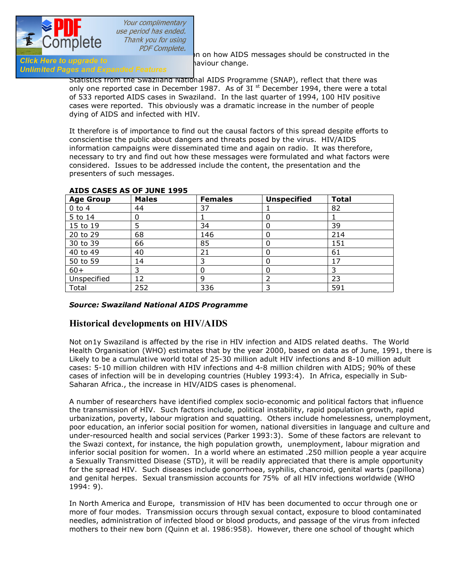

status will help in the study of the study of the study of the study of the study of the same on how AIDS messages should be constructed in the  $\frac{1}{\sqrt{1-\frac{1}{n}}}$  on how AIDS messages should be constructed in the

# Click Here to upgrade to<br>Unlimited Pages and Expanded Features **behaviour change.**

Statistics from the Swaziland National AIDS Programme (SNAP), reflect that there was only one reported case in December 1987. As of 3I  $^{\text{st}}$  December 1994, there were a total of 533 reported AIDS cases in Swaziland. In the last quarter of 1994, 100 HIV positive cases were reported. This obviously was a dramatic increase in the number of people dying of AIDS and infected with HIV.

It therefore is of importance to find out the causal factors of this spread despite efforts to conscientise the public about dangers and threats posed by the virus. HIV/AIDS information campaigns were disseminated time and again on radio. It was therefore, necessary to try and find out how these messages were formulated and what factors were considered. Issues to be addressed include the content, the presentation and the presenters of such messages.

| <b>Age Group</b> | <b>Males</b> | <b>Females</b> | <b>Unspecified</b> | <b>Total</b> |
|------------------|--------------|----------------|--------------------|--------------|
| $0$ to 4         | 44           | 37             |                    | 82           |
| 5 to 14          | 0            |                |                    |              |
| 15 to 19         |              | 34             |                    | 39           |
| 20 to 29         | 68           | 146            |                    | 214          |
| 30 to 39         | 66           | 85             |                    | 151          |
| 40 to 49         | 40           | 21             | 0                  | 61           |
| 50 to 59         | 14           |                |                    | 17           |
| $60+$            | 3            |                |                    |              |
| Unspecified      | 12           | 9              |                    | 23           |
| Total            | 252          | 336            | 3                  | 591          |

### **AIDS CASES AS OF JUNE 1995**

### *Source: Swaziland National AIDS Programme*

### **Historical developments on HIV/AIDS**

Not on1y Swaziland is affected by the rise in HIV infection and AIDS related deaths. The World Health Organisation (WHO) estimates that by the year 2000, based on data as of June, 1991, there is Likely to be a cumulative world total of 25-30 million adult HIV infections and 8-10 million adult cases: 5-10 million children with HIV infections and 4-8 million children with AIDS; 90% of these cases of infection will be in developing countries (Hubley 1993:4). In Africa, especially in Sub-Saharan Africa., the increase in HIV/AIDS cases is phenomenal.

A number of researchers have identified complex socio-economic and political factors that influence the transmission of HIV. Such factors include, political instability, rapid population growth, rapid urbanization, poverty, labour migration and squatting. Others include homelessness, unemployment, poor education, an inferior social position for women, national diversities in language and culture and under-resourced health and social services (Parker 1993:3). Some of these factors are relevant to the Swazi context, for instance, the high population growth, unemployment, labour migration and inferior social position for women. In a world where an estimated .250 million people a year acquire a Sexually Transmitted Disease (STD), it will be readily appreciated that there is ample opportunity for the spread HIV. Such diseases include gonorrhoea, syphilis, chancroid, genital warts (papillona) and genital herpes. Sexual transmission accounts for 75% of all HIV infections worldwide (WHO 1994: 9).

In North America and Europe, transmission of HIV has been documented to occur through one or more of four modes. Transmission occurs through sexual contact, exposure to blood contaminated needles, administration of infected blood or blood products, and passage of the virus from infected mothers to their new born (Quinn et al. 1986:958). However, there one school of thought which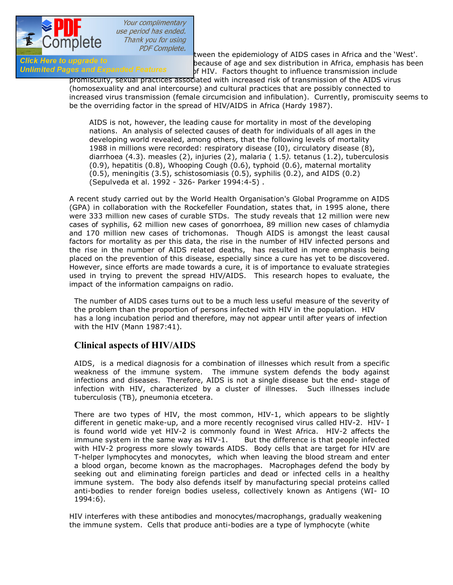

positive that the epidemiology of AIDS cases in Africa and the 'West'.<br>Click Here to upgrade to the cause of age and sex distribution in Africa, emphasis has been Girck Here to upgrade to Daniel Hardy because of age and sex distribution in Africa, emphasis has been<br>**Unlimited Pages and Expanded Features** of HIV Factors thought to influence transmission include of HIV. Factors thought to influence transmission include

promiscuity, sexual practices associated with increased risk of transmission of the AIDS virus (homosexuality and anal intercourse) and cultural practices that are possibly connected to increased virus transmission (female circumcision and infibulation). Currently, promiscuity seems to be the overriding factor in the spread of HIV/AIDS in Africa (Hardy 1987).

AIDS is not, however, the leading cause for mortality in most of the developing nations. An analysis of selected causes of death for individuals of all ages in the developing world revealed, among others, that the following levels of mortality 1988 in millions were recorded: respiratory disease (I0), circulatory disease (8), diarrhoea (4.3). measles (2), injuries (2), malaria ( 1.5*).* tetanus (1.2), tuberculosis (0.9), hepatitis (0.8), Whooping Cough (0.6), typhoid (0.6), maternal mortality (0.5), meningitis (3.5), schistosomiasis (0.5), syphilis (0.2), and AIDS (0.2) (Sepulveda et al. 1992 - 326- Parker 1994:4-5) .

A recent study carried out by the World Health Organisation's Global Programme on AIDS (GPA) in collaboration with the Rockefeller Foundation, states that, in 1995 alone, there were 333 million new cases of curable STDs. The study reveals that 12 million were new cases of syphilis, 62 million new cases of gonorrhoea, 89 million new cases of chlamydia and 170 million new cases of trichomonas. Though AIDS is amongst the least causal factors for mortality as per this data, the rise in the number of HIV infected persons and the rise in the number of AIDS related deaths, has resulted in more emphasis being placed on the prevention of this disease, especially since a cure has yet to be discovered. However, since efforts are made towards a cure, it is of importance to evaluate strategies used in trying to prevent the spread HIV/AIDS. This research hopes to evaluate, the impact of the information campaigns on radio.

The number of AIDS cases turns out to be a much less useful measure of the severity of the problem than the proportion of persons infected with HIV in the population. HIV has a long incubation period and therefore, may not appear until after years of infection with the HIV (Mann 1987:41).

### **Clinical aspects of HIV/AIDS**

AIDS, is a medical diagnosis for a combination of illnesses which result from a specific weakness of the immune system. The immune system defends the body against infections and diseases. Therefore, AIDS is not a single disease but the end- stage of infection with HIV, characterized by a cluster of illnesses. Such illnesses include tuberculosis (TB), pneumonia etcetera.

There are two types of HIV, the most common, HIV-1, which appears to be slightly different in genetic make-up, and a more recently recognised virus called HIV-2. HIV- I is found world wide yet HIV-2 is commonly found in West Africa. HIV-2 affects the immune system in the same way as  $HIV-1$ . But the difference is that people infected with HIV-2 progress more slowly towards AIDS. Body cells that are target for HIV are T-helper lymphocytes and monocytes, which when leaving the blood stream and enter a blood organ, become known as the macrophages. Macrophages defend the body by seeking out and eliminating foreign particles and dead or infected cells in a healthy immune system. The body also defends itself by manufacturing special proteins called anti-bodies to render foreign bodies useless, collectively known as Antigens (WI- IO 1994:6).

HIV interferes with these antibodies and monocytes/macrophangs, gradually weakening the immune system. Cells that produce anti-bodies are a type of lymphocyte (white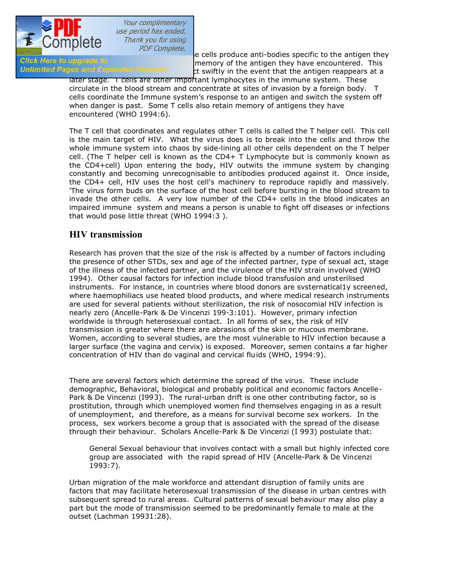

blood cells produce anti-bodies specific to the antigen they<br>Click Here to upgrade to entimention of the antigen they have encountered. This Girck Here to upgrade to destroy of the antigen they have encountered. This<br>Unlimited Pages and Expanded Features and the southly in the event that the antigen reappears at a et swiftly in the event that the antigen reappears at a

> later stage. I cells are other important lymphocytes in the immune system. These circulate in the blood stream and concentrate at sites of invasion by a foreign body. T cells coordinate the Immune system's response to an antigen and switch the system off when danger is past. Some T cells also retain memory of antigens they have encountered (WHO 1994:6).

The T cell that coordinates and regulates other T cells is called the T helper cell. This cell is the main target of HIV. What the virus does is to break into the cells and throw the whole immune system into chaos by side-lining all other cells dependent on the T helper cell. (The T helper cell is known as the CD4+ T Lymphocyte but is commonly known as the CD4+cell) Upon entering the body, HIV outwits the immune system by changing constantly and becoming unrecognisable to antibodies produced against it. Once inside, the CD4+ cell, HIV uses the host cell's machinery to reproduce rapidly and massively. 'The virus form buds on the surface of the host cell before bursting in the blood stream to invade the other cells. A very low number of the CD4+ cells in the blood indicates an impaired immune system and means a person is unable to fight off diseases or infections that would pose little threat (WHO 1994:3 ).

### **HIV transmission**

Research has proven that the size of the risk is affected by a number of factors including the presence of other STDs, sex and age of the infected partner, type of sexual act, stage of the illness of the infected partner, and the virulence of the HIV strain involved (WHO 1994). Other causal factors for infection include blood transfusion and unsterilised instruments. For instance, in countries where blood donors are svsternatical1y screened, where haemophiliacs use heated blood products, and where medical research instruments are used for several patients without sterilization, the risk of nosocomial HIV infection is nearly zero (Ancelle-Park & De Vincenzi 199-3:101). However, primary infection worldwide is through heterosexual contact. In all forms of sex, the risk of HIV transmission is greater where there are abrasions of the skin or mucous membrane. Women, according to several studies, are the most vulnerable to HIV infection because a larger surface (the vagina and cervix) is exposed. Moreover, semen contains a far higher concentration of HIV than do vaginal and cervical fluids (WHO, 1994:9).

There are several factors which determine the spread of the virus. These include demographic, Behavioral, biological and probably political and economic factors Ancelle-Park & De Vincenzi (I993). The rural-urban drift is one other contributing factor, so is prostitution, through which unemployed women find themselves engaging in as a result of unemployment, and therefore, as a means for survival become sex workers. In the process, sex workers become a group that is associated with the spread of the disease through their behaviour. Scholars Ancelle-Park & De Vincenzi (I 993) postulate that:

General Sexual behaviour that involves contact with a small but highly infected core group are associated with the rapid spread of HIV (Ancelle-Park & De Vincenzi 1993:7).

Urban migration of the male workforce and attendant disruption of family units are factors that may facilitate heterosexual transmission of the disease in urban centres with subsequent spread to rural areas. Cultural patterns of sexual behaviour may also play a part but the mode of transmission seemed to be predominantly female to male at the outset (Lachman 19931:28).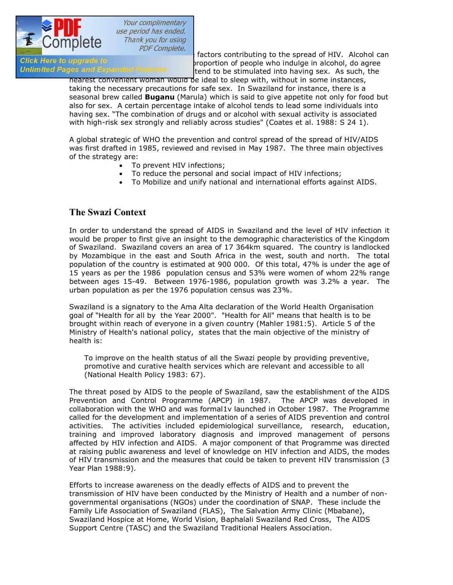

 $\frac{P}{PDE}$  COTTIPICTC  $\frac{P}{PDE}$  *Complete.*<br>Alcohol cannot the spread of HIV. Alcohol cannotic the spread of HIV. Alcohol cannotic the spread of HIV. Alcohol cannotic the spread of HIV. Alcohol cannotic the spread of HIV Girck Here to upgrade to 'seatures' stripportion of people who indulge in alcohol, do agree<br>Unlimited Pages and Expanded Features and to be stimulated into baying sex. As such the tend to be stimulated into having sex. As such, the

> nearest convenient woman would be ideal to sleep with, without in some instances, taking the necessary precautions for safe sex. In Swaziland for instance, there is a seasonal brew called **Buganu** (Marula) which is said to give appetite not only for food but also for sex. A certain percentage intake of alcohol tends to lead some individuals into having sex. "The combination of drugs and or alcohol with sexual activity is associated with high-risk sex strongly and reliably across studies" (Coates et al. 1988: S 24 1).

A global strategic of WHO the prevention and control spread of the spread of HIV/AIDS was first drafted in 1985, reviewed and revised in May 1987. The three main objectives of the strategy are:

- To prevent HIV infections;
- · To reduce the personal and social impact of HIV infections;
- · To Mobilize and unify national and international efforts against AIDS.

## **The Swazi Context**

In order to understand the spread of AIDS in Swaziland and the level of HIV infection it would be proper to first give an insight to the demographic characteristics of the Kingdom of Swaziland. Swaziland covers an area of 17 364km squared. The country is landlocked by Mozambique in the east and South Africa in the west, south and north. The total population of the country is estimated at 900 000. Of this total, 47% is under the age of 15 years as per the 1986 population census and 53% were women of whom 22% range between ages 15-49. Between 1976-1986, population growth was 3.2% a year. The urban population as per the 1976 population census was 23%.

Swaziland is a signatory to the Ama Alta declaration of the World Health Organisation goal of "Health for all by the Year 2000". "Health for All" means that health is to be brought within reach of everyone in a given country (Mahler 1981:5). Article 5 of the Ministry of Health's national policy, states that the main objective of the ministry of health is:

To improve on the health status of all the Swazi people by providing preventive, promotive and curative health services which are relevant and accessible to all (National Health Policy 1983: 67).

The threat posed by AIDS to the people of Swaziland, saw the establishment of the AIDS Prevention and Control Programme (APCP) in 1987. The APCP was developed in collaboration with the WHO and was formal1v launched in October 1987. The Programme called for the development and implementation of a series of AIDS prevention and control activities. The activities included epidemiological surveillance, research, education, training and improved laboratory diagnosis and improved management of persons affected by HIV infection and AIDS. A major component of that Programme was directed at raising public awareness and level of knowledge on HIV infection and AIDS, the modes of HIV transmission and the measures that could be taken to prevent HIV transmission (3 Year Plan 1988:9).

Efforts to increase awareness on the deadly effects of AIDS and to prevent the transmission of HIV have been conducted by the Ministry of Health and a number of nongovernmental organisations (NGOs) under the coordination of SNAP. These include the Family Life Association of Swaziland (FLAS), The Salvation Army Clinic (Mbabane), Swaziland Hospice at Home, World Vision, Baphalali Swaziland Red Cross, The AIDS Support Centre (TASC) and the Swaziland Traditional Healers Association.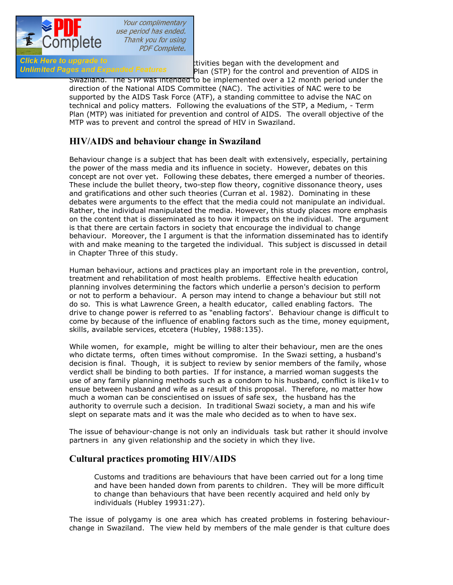

Your complimentary use period has ended. Thank you for using **PDF Complete.** 

Click Here to upgrade to<br>
Unlimited Pages and Expanded Features<br>
Plan (STP) for the control and prevention Plan (STP) for the control and prevention of AIDS in

Swaziland. The STP was intended to be implemented over a 12 month period under the direction of the National AIDS Committee (NAC). The activities of NAC were to be supported by the AIDS Task Force (ATF), a standing committee to advise the NAC on technical and policy matters. Following the evaluations of the STP, a Medium, - Term Plan (MTP) was initiated for prevention and control of AIDS. The overall objective of the MTP was to prevent and control the spread of HIV in Swaziland.

# **HIV/AIDS and behaviour change in Swaziland**

Behaviour change is a subject that has been dealt with extensively, especially, pertaining the power of the mass media and its influence in society. However, debates on this concept are not over yet. Following these debates, there emerged a number of theories. These include the bullet theory, two-step flow theory, cognitive dissonance theory, uses and gratifications and other such theories (Curran et al. 1982). Dominating in these debates were arguments to the effect that the media could not manipulate an individual. Rather, the individual manipulated the media. However, this study places more emphasis on the content that is disseminated as to how it impacts on the individual. The argument is that there are certain factors in society that encourage the individual to change behaviour. Moreover, the I argument is that the information disseminated has to identify with and make meaning to the targeted the individual. This subject is discussed in detail in Chapter Three of this study.

Human behaviour, actions and practices play an important role in the prevention, control, treatment and rehabilitation of most health problems. Effective health education planning involves determining the factors which underlie a person's decision to perform or not to perform a behaviour. A person may intend to change a behaviour but still not do so. This is what Lawrence Green, a health educator, called enabling factors. The drive to change power is referred to as "enabling factors'. Behaviour change is difficult to come by because of the influence of enabling factors such as the time, money equipment, skills, available services, etcetera (Hubley, 1988:135).

While women, for example, might be willing to alter their behaviour, men are the ones who dictate terms, often times without compromise. In the Swazi setting, a husband's decision is final. Though, it is subject to review by senior members of the family, whose verdict shall be binding to both parties. If for instance, a married woman suggests the use of any family planning methods such as a condom to his husband, conflict is like1v to ensue between husband and wife as a result of this proposal. Therefore, no matter how much a woman can be conscientised on issues of safe sex, the husband has the authority to overrule such a decision. In traditional Swazi society, a man and his wife slept on separate mats and it was the male who decided as to when to have sex.

The issue of behaviour-change is not only an individuals task but rather it should involve partners in any given relationship and the society in which they live.

### **Cultural practices promoting HIV/AIDS**

Customs and traditions are behaviours that have been carried out for a long time and have been handed down from parents to children. They will be more difficult to change than behaviours that have been recently acquired and held only by individuals (Hubley 19931:27).

The issue of polygamy is one area which has created problems in fostering behaviourchange in Swaziland. The view held by members of the male gender is that culture does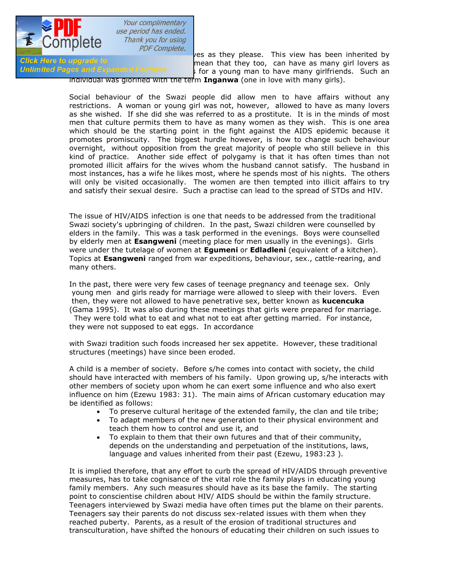

**PERTUAN SETTLE COMPLETE:**<br>
PERTUAN THEM TO THE MESS AS THE MANY PLEASE. This view has been inherited by<br>
mean that they too, can have as many girl lovers as Girck Here to upgrade to members of mean that they too, can have as many girl lovers as unit for the society of<br>Unlimited Pages and Expanded Features and the society of the society of the society of the society of the soci if for a young man to have many girlfriends. Such an

individual was glorified with the term **Inganwa** (one in love with many girls).

Social behaviour of the Swazi people did allow men to have affairs without any restrictions. A woman or young girl was not, however, allowed to have as many lovers as she wished. If she did she was referred to as a prostitute. It is in the minds of most men that culture permits them to have as many women as they wish. This is one area which should be the starting point in the fight against the AIDS epidemic because it promotes promiscuity. The biggest hurdle however, is how to change such behaviour overnight, without opposition from the great majority of people who still believe in this kind of practice. Another side effect of polygamy is that it has often times than not promoted illicit affairs for the wives whom the husband cannot satisfy. The husband in most instances, has a wife he likes most, where he spends most of his nights. The others will only be visited occasionally. The women are then tempted into illicit affairs to try and satisfy their sexual desire. Such a practise can lead to the spread of STDs and HIV.

The issue of HIV/AIDS infection is one that needs to be addressed from the traditional Swazi society's upbringing of children. In the past, Swazi children were counselled by elders in the family. This was a task performed in the evenings. Boys were counselled by elderly men at **Esangweni** (meeting place for men usually in the evenings). Girls were under the tutelage of women at **Egumeni** or **Edladleni** (equivalent of a kitchen). Topics at **Esangweni** ranged from war expeditions, behaviour, sex., cattle-rearing, and many others.

In the past, there were very few cases of teenage pregnancy and teenage sex. Only young men and girls ready for marriage were allowed to sleep with their lovers. Even then, they were not allowed to have penetrative sex, better known as **kucencuka** (Gama 1995). It was also during these meetings that girls were prepared for marriage. They were told what to eat and what not to eat after getting married. For instance, they were not supposed to eat eggs. In accordance

with Swazi tradition such foods increased her sex appetite. However, these traditional structures (meetings) have since been eroded.

A child is a member of society. Before s/he comes into contact with society, the child should have interacted with members of his family. Upon growing up, s/he interacts with other members of society upon whom he can exert some influence and who also exert influence on him (Ezewu 1983: 31). The main aims of African customary education may be identified as follows:

- · To preserve cultural heritage of the extended family, the clan and tile tribe;
- · To adapt members of the new generation to their physical environment and teach them how to control and use it, and
- · To explain to them that their own futures and that of their community, depends on the understanding and perpetuation of the institutions, laws, language and values inherited from their past (Ezewu, 1983:23 ).

It is implied therefore, that any effort to curb the spread of HIV/AIDS through preventive measures, has to take cognisance of the vital role the family plays in educating young family members. Any such measures should have as its base the family. The starting point to conscientise children about HIV/ AIDS should be within the family structure. Teenagers interviewed by Swazi media have often times put the blame on their parents. Teenagers say their parents do not discuss sex-related issues with them when they reached puberty. Parents, as a result of the erosion of traditional structures and transculturation, have shifted the honours of educating their children on such issues to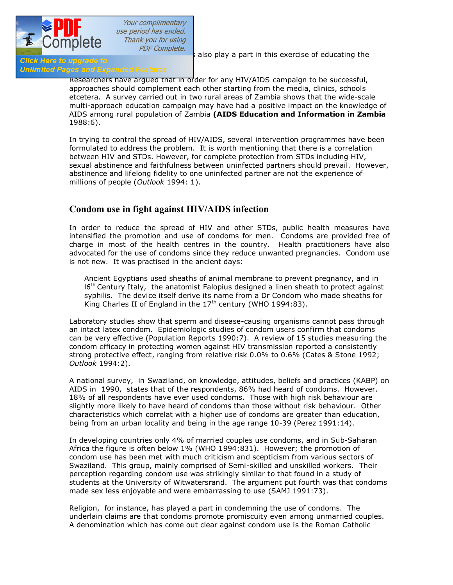

[the media. The church and schools](http://www.pdfcomplete.com/cms/hppl/tabid/108/Default.aspx?r=q8b3uige22) also play a part in this exercise of educating the

# **Click Here to upgrade to<br>Unlimited Pages and Expanded Features**

Researchers have argued that in order for any HIV/AIDS campaign to be successful, approaches should complement each other starting from the media, clinics, schools etcetera. A survey carried out in two rural areas of Zambia shows that the wide-scale multi-approach education campaign may have had a positive impact on the knowledge of AIDS among rural population of Zambia **(AIDS Education and Information in Zambia**  1988:6).

In trying to control the spread of HIV/AIDS, several intervention programmes have been formulated to address the problem. It is worth mentioning that there is a correlation between HIV and STDs. However, for complete protection from STDs including HIV, sexual abstinence and faithfulness between uninfected partners should prevail. However, abstinence and lifelong fidelity to one uninfected partner are not the experience of millions of people (*Outlook* 1994: 1).

### **Condom use in fight against HIV/AIDS infection**

In order to reduce the spread of HIV and other STDs, public health measures have intensified the promotion and use of condoms for men. Condoms are provided free of charge in most of the health centres in the country. Health practitioners have also advocated for the use of condoms since they reduce unwanted pregnancies. Condom use is not new. It was practised in the ancient days:

Ancient Egyptians used sheaths of animal membrane to prevent pregnancy, and in  $16<sup>th</sup>$  Century Italy, the anatomist Falopius designed a linen sheath to protect against syphilis. The device itself derive its name from a Dr Condom who made sheaths for King Charles II of England in the  $17<sup>th</sup>$  century (WHO 1994:83).

Laboratory studies show that sperm and disease-causing organisms cannot pass through an intact latex condom. Epidemiologic studies of condom users confirm that condoms can be very effective (Population Reports 1990:7). A review of 15 studies measuring the condom efficacy in protecting women against HIV transmission reported a consistently strong protective effect, ranging from relative risk 0.0% to 0.6% (Cates & Stone 1992; *Outlook* 1994:2).

A national survey, in Swaziland, on knowledge, attitudes, beliefs and practices (KABP) on AIDS in 1990, states that of the respondents, 86% had heard of condoms. However. 18% of all respondents have ever used condoms. Those with high risk behaviour are slightly more likely to have heard of condoms than those without risk behaviour. Other characteristics which correlat with a higher use of condoms are greater than education, being from an urban locality and being in the age range 10-39 (Perez 1991:14).

In developing countries only 4% of married couples use condoms, and in Sub-Saharan Africa the figure is often below 1% (WHO 1994:831). However; the promotion of condom use has been met with much criticism and scepticism from various sectors of Swaziland. This group, mainly comprised of Semi-skilled and unskilled workers. Their perception regarding condom use was strikingly similar to that found in a study of students at the University of Witwatersrand. The argument put fourth was that condoms made sex less enjoyable and were embarrassing to use (SAMJ 1991:73).

Religion, for instance, has played a part in condemning the use of condoms. The underlain claims are that condoms promote promiscuity even among unmarried couples. A denomination which has come out clear against condom use is the Roman Catholic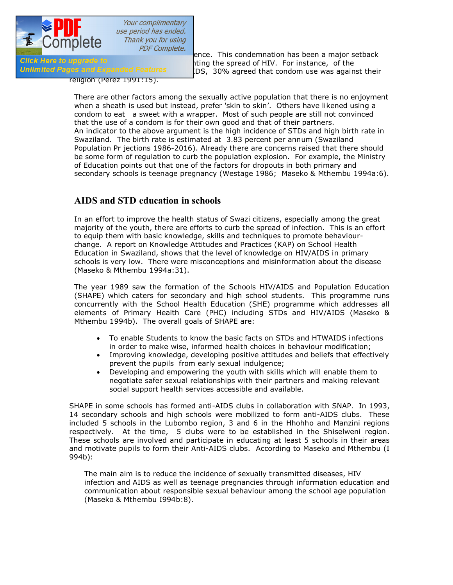

COTTIPICTO  $PDF\text{ Complete.}$ <br>Click Here to upgrade to ence. This condemnation has been a major setback<br>ting the spread of HIV. For instance, of the Girck Here to upgrade to<br>**Unlimited Pages and Expanded Features** 1006 and anneed that condom use was again IDS, 30% agreed that condom use was against their

religion (Perez 1991:15).

There are other factors among the sexually active population that there is no enjoyment when a sheath is used but instead, prefer 'skin to skin'. Others have likened using a condom to eat a sweet with a wrapper. Most of such people are still not convinced that the use of a condom is for their own good and that of their partners. An indicator to the above argument is the high incidence of STDs and high birth rate in Swaziland. The birth rate is estimated at 3.83 percent per annum (Swaziland Population Pr jections 1986-2016). Already there are concerns raised that there should be some form of regulation to curb the population explosion. For example, the Ministry of Education points out that one of the factors for dropouts in both primary and secondary schools is teenage pregnancy (Westage 1986; Maseko & Mthembu 1994a:6).

### **AIDS and STD education in schools**

In an effort to improve the health status of Swazi citizens, especially among the great majority of the youth, there are efforts to curb the spread of infection. This is an effort to equip them with basic knowledge, skills and techniques to promote behaviourchange. A report on Knowledge Attitudes and Practices (KAP) on School Health Education in Swaziland, shows that the level of knowledge on HIV/AIDS in primary schools is very low. There were misconceptions and misinformation about the disease (Maseko & Mthembu 1994a:31).

The year 1989 saw the formation of the Schools HIV/AIDS and Population Education (SHAPE) which caters for secondary and high school students. This programme runs concurrently with the School Health Education (SHE) programme which addresses all elements of Primary Health Care (PHC) including STDs and HIV/AIDS (Maseko & Mthembu 1994b). The overall goals of SHAPE are:

- · To enable Students to know the basic facts on STDs and HTWAIDS infections in order to make wise, informed health choices in behaviour modification;
- · Improving knowledge, developing positive attitudes and beliefs that effectively prevent the pupils from early sexual indulgence;
- · Developing and empowering the youth with skills which will enable them to negotiate safer sexual relationships with their partners and making relevant social support health services accessible and available.

SHAPE in some schools has formed anti-AIDS clubs in collaboration with SNAP. In 1993, 14 secondary schools and high schools were mobilized to form anti-AIDS clubs. These included 5 schools in the Lubombo region, 3 and 6 in the Hhohho and Manzini regions respectively. At the time, 5 clubs were to be established in the Shiselweni region. These schools are involved and participate in educating at least 5 schools in their areas and motivate pupils to form their Anti-AIDS clubs. According to Maseko and Mthembu (I 994b):

The main aim is to reduce the incidence of sexually transmitted diseases, HIV infection and AIDS as well as teenage pregnancies through information education and communication about responsible sexual behaviour among the school age population (Maseko & Mthembu I994b:8).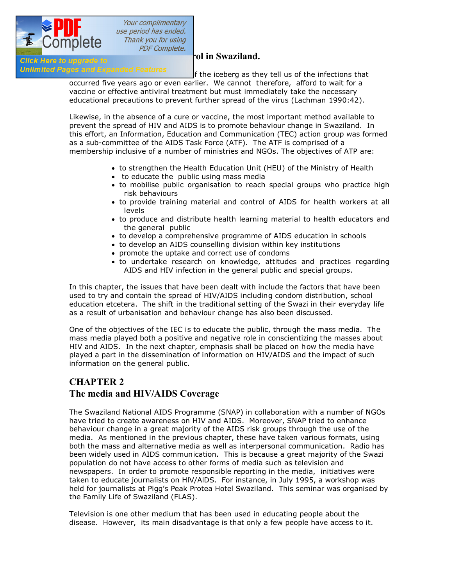

Unlimited Pages and Expanded Features<br>
f the iceberg as they tell us of the infections that

occurred five years ago or even earlier. We cannot therefore, afford to wait for a vaccine or effective antiviral treatment but must immediately take the necessary educational precautions to prevent further spread of the virus (Lachman 1990:42).

Likewise, in the absence of a cure or vaccine, the most important method available to prevent the spread of HIV and AIDS is to promote behaviour change in Swaziland. In this effort, an Information, Education and Communication (TEC) action group was formed as a sub-committee of the AIDS Task Force (ATF). The ATF is comprised of a membership inclusive of a number of ministries and NGOs. The objectives of ATP are:

- · to strengthen the Health Education Unit (HEU) of the Ministry of Health
- · to educate the public using mass media
- · to mobilise public organisation to reach special groups who practice high risk behaviours
- · to provide training material and control of AIDS for health workers at all levels
- · to produce and distribute health learning material to health educators and the general public
- · to develop a comprehensive programme of AIDS education in schools
- · to develop an AIDS counselling division within key institutions
- · promote the uptake and correct use of condoms
- · to undertake research on knowledge, attitudes and practices regarding AIDS and HIV infection in the general public and special groups.

In this chapter, the issues that have been dealt with include the factors that have been used to try and contain the spread of HIV/AIDS including condom distribution, school education etcetera. The shift in the traditional setting of the Swazi in their everyday life as a result of urbanisation and behaviour change has also been discussed.

One of the objectives of the IEC is to educate the public, through the mass media. The mass media played both a positive and negative role in conscientizing the masses about HIV and AIDS. In the next chapter, emphasis shall be placed on how the media have played a part in the dissemination of information on HIV/AIDS and the impact of such information on the general public.

# **CHAPTER 2 The media and HIV/AIDS Coverage**

The Swaziland National AIDS Programme (SNAP) in collaboration with a number of NGOs have tried to create awareness on HIV and AIDS. Moreover, SNAP tried to enhance behaviour change in a great majority of the AIDS risk groups through the use of the media. As mentioned in the previous chapter, these have taken various formats, using both the mass and alternative media as well as interpersonal communication. Radio has been widely used in AIDS communication. This is because a great majority of the Swazi population do not have access to other forms of media such as television and newspapers. In order to promote responsible reporting in the media, initiatives were taken to educate journalists on HlV/AlDS. For instance, in July 1995, a workshop was held for journalists at Pigg's Peak Protea Hotel Swaziland. This seminar was organised by the Family Life of Swaziland (FLAS).

Television is one other medium that has been used in educating people about the disease. However, its main disadvantage is that only a few people have access to it.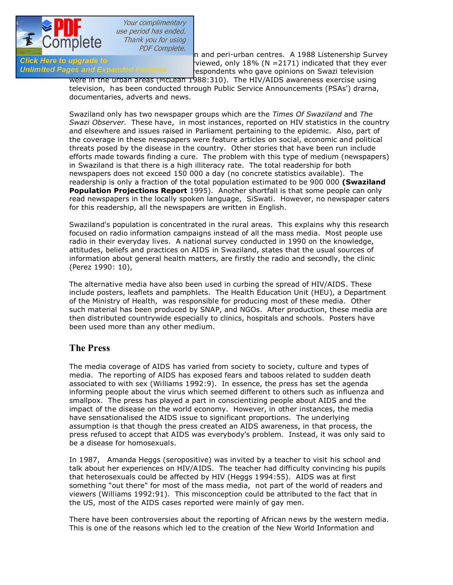

 $T_{\text{F}}$  and peri-urban centres. A 1988 Listenership Survey<br>Click Here to upgrade to under the unique domination of the urban centres. A 1988 Listenership Survey Girck Here to upgrade to  $\sim$  viewed, only 18% (N =2171) indicated that they ever<br>Unlimited Pages and Expanded Features  $\sim$  espondents who gave opinions on Swazi television respondents who gave opinions on Swazi television

> were in the urban areas (McLean 1988:310). The HIV/AIDS awareness exercise using television, has been conducted through Public Service Announcements (PSAs') drarna, documentaries, adverts and news.

Swaziland only has two newspaper groups which are the *Times Of Swaziland* and *The Swazi Observer.*These have, in most instances, reported on HIV statistics in the country and elsewhere and issues raised in Parliament pertaining to the epidemic. Also, part of the coverage in these newspapers were feature articles on social, economic and political threats posed by the disease in the country. Other stories that have been run include efforts made towards finding a cure. The problem with this type of medium (newspapers) in Swaziland is that there is a high illiteracy rate. The total readership for both newspapers does not exceed 150 000 a day (no concrete statistics available). The readership is only a fraction of the total population estimated to be 900 000 **(Swaziland Population Projections Report** 1995). Another shortfall is that some people can only read newspapers in the locally spoken language, SiSwati. However, no newspaper caters for this readership, all the newspapers are written in English.

Swaziland's population is concentrated in the rural areas. This explains why this research focused on radio information campaigns instead of all the mass media. Most people use radio in their everyday lives. A national survey conducted in 1990 on the knowledge, attitudes, beliefs and practices on AIDS in Swaziland, states that the usual sources of information about general health matters, are firstly the radio and secondly, the clinic (Perez 1990: 10),

The alternative media have also been used in curbing the spread of HIV/AIDS. These include posters, leaflets and pamphlets. The Health Education Unit (HEU), a Department of the Ministry of Health, was responsible for producing most of these media. Other such material has been produced by SNAP, and NGOs. After production, these media are then distributed countrywide especially to clinics, hospitals and schools. Posters have been used more than any other medium.

### **The Press**

The media coverage of AIDS has varied from society to society, culture and types of media. The reporting of AIDS has exposed fears and taboos related to sudden death associated to with sex (Williams 1992:9). In essence, the press has set the agenda informing people about the virus which seemed different to others such as influenza and smallpox. The press has played a part in conscientizing people about AIDS and the impact of the disease on the world economy. However, in other instances, the media have sensationalised the AIDS issue to significant proportions. The underlying assumption is that though the press created an AIDS awareness, in that process, the press refused to accept that AIDS was everybody's problem. Instead, it was only said to be a disease for homosexuals.

In 1987, Amanda Heggs (seropositive) was invited by a teacher to visit his school and talk about her experiences on HIV/AIDS. The teacher had difficulty convincing his pupils that heterosexuals could be affected by HIV (Heggs 1994:55). AIDS was at first something "out there" for most of the mass media, not part of the world of readers and viewers (Williams 1992:91). This misconception could be attributed to the fact that in the US, most of the AIDS cases reported were mainly of gay men.

There have been controversies about the reporting of African news by the western media. This is one of the reasons which led to the creation of the New World Information and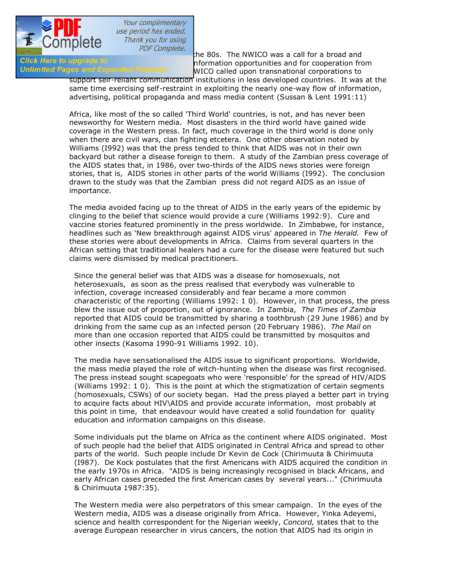

COMPICIC<br>The 80s. The NWICO was a call for a broad and<br>Information opportunities and for cooperation from GIICK Here to upgrade to democration of a superfunction opportunities and for cooperation from the Unimited Pages and Expanded Features and NUCO called upon transpational corporations to WICO called upon transnational corporations to

support self-reliant communication institutions in less developed countries. It was at the same time exercising self-restraint in exploiting the nearly one-way flow of information, advertising, political propaganda and mass media content (Sussan & Lent 1991:11)

Africa, like most of the so called 'Third World' countries, is not, and has never been newsworthy for Western media. Most disasters in the third world have gained wide coverage in the Western press. In fact, much coverage in the third world is done only when there are civil wars, clan fighting etcetera. One other observation noted by Williams (I992) was that the press tended to think that AIDS was not in their own backyard but rather a disease foreign to them. A study of the Zambian press coverage of the AIDS states that, in 1986, over two-thirds of the AIDS news stories were foreign stories, that is, AIDS stories in other parts of the world Williams (I992). The conclusion drawn to the study was that the Zambian press did not regard AIDS as an issue of importance.

The media avoided facing up to the threat of AIDS in the early years of the epidemic by clinging to the belief that science would provide a cure (Williams 1992:9). Cure and vaccine stories featured prominently in the press worldwide. In Zimbabwe, for instance, headlines such as 'New breakthrough against AIDS virus' appeared in *The Herald.*Few of these stories were about developments in Africa. Claims from several quarters in the African setting that traditional healers had a cure for the disease were featured but such claims were dismissed by medical practitioners.

Since the general belief was that AIDS was a disease for homosexuals, not heterosexuals, as soon as the press realised that everybody was vulnerable to infection, coverage increased considerably and fear became a more common characteristic of the reporting (Williams 1992: 1 0). However, in that process, the press blew the issue out of proportion, out of ignorance. In Zambia, *The Times of Zambia* reported that AIDS could be transmitted by sharing a toothbrush (29 June 1986) and by drinking from the same cup as an infected person (20 February 1986). *The Mail* on more than one occasion reported that AIDS could be transmitted by mosquitos and other insects (Kasoma 1990-91 Williams 1992. 10).

The media have sensationalised the AIDS issue to significant proportions. Worldwide, the mass media played the role of witch-hunting when the disease was first recognised. The press instead sought scapegoats who were 'responsible' for the spread of HIV/AIDS (Williams 1992: 1 0). This is the point at which the stigmatization of certain segments (homosexuals, CSWs) of our society began. Had the press played a better part in trying to acquire facts about HIV\AIDS and provide accurate information, most probably at this point in time, that endeavour would have created a solid foundation for quality education and information campaigns on this disease.

Some individuals put the blame on Africa as the continent where AIDS originated. Most of such people had the belief that AIDS originated in Central Africa and spread to other parts of the world. Such people include Dr Kevin de Cock (Chirimuuta & Chirimuuta (I987). De Kock postulates that the first Americans with AIDS acquired the condition in the early 1970s in Africa. "AIDS is being increasingly recognised in black Africans, and early African cases preceded the first American cases by several years..." (Chirimuuta & Chirimuuta 1987:35).

The Western media were also perpetrators of this smear campaign. In the eyes of the Western media, AIDS was a disease originally from Africa. However, Yinka Adeyemi, science and health correspondent for the Nigerian weekly, *Concord,* states that to the average European researcher in virus cancers, the notion that AIDS had its origin in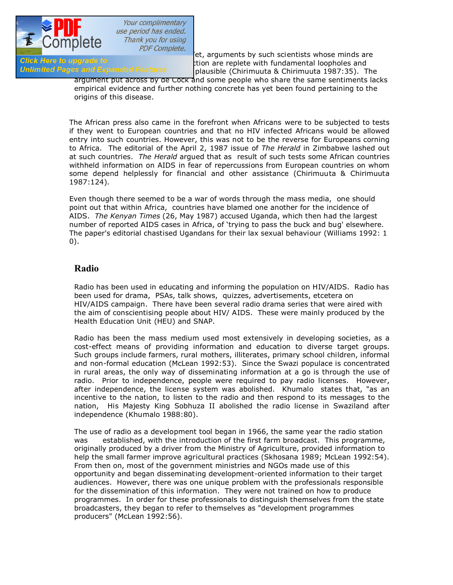

 $\frac{1}{\sqrt{1+\frac{1}{1+\frac{1}{1+\frac{1}{1+\frac{1}{1+\frac{1}{1+\frac{1}{1+\frac{1}{1+\frac{1}{1+\frac{1}{1+\frac{1}{1+\frac{1}{1+\frac{1}{1+\frac{1}{1+\frac{1}{1+\frac{1}{1+\frac{1}{1+\frac{1}{1+\frac{1}{1+\frac{1}{1+\frac{1}{1+\frac{1}{1+\frac{1}{1+\frac{1}{1+\frac{1}{1+\frac{1}{1+\frac{1}{1+\frac{1}{1+\frac{1}{1+\frac{1}{1+\frac{1}{1+\frac{1}{1+\frac{1}{1+\frac{1}{1+\frac{1}{1+\frac{1}{1+\$ GIICK Here to upgrade to<br>**Unlimited Pages and Expanded Features** The African connection are replete with fundamental loopholes and plausible (Chirimuuta & Chirimuuta 1987:35). The

argument put across by de Cock and some people who share the same sentiments lacks empirical evidence and further nothing concrete has yet been found pertaining to the origins of this disease.

The African press also came in the forefront when Africans were to be subjected to tests if they went to European countries and that no HIV infected Africans would be allowed entry into such countries. However, this was not to be the reverse for Europeans corning to Africa. The editorial of the April 2, 1987 issue of *The Herald* in Zimbabwe lashed out at such countries. *The Herald* argued that as result of such tests some African countries withheld information on AIDS in fear of repercussions from European countries on whom some depend helplessly for financial and other assistance (Chirimuuta & Chirimuuta 1987:124).

Even though there seemed to be a war of words through the mass media, one should point out that within Africa, countries have blamed one another for the incidence of AIDS. *The Kenyan Times* (26, May 1987) accused Uganda, which then had the largest number of reported AIDS cases in Africa, of 'trying to pass the buck and bug' elsewhere. The paper's editorial chastised Ugandans for their lax sexual behaviour (Williams 1992: 1 0).

### **Radio**

Radio has been used in educating and informing the population on HIV/AIDS. Radio has been used for drama, PSAs, talk shows, quizzes, advertisements, etcetera on HIV/AIDS campaign. There have been several radio drama series that were aired with the aim of conscientising people about HIV/ AIDS. These were mainly produced by the Health Education Unit (HEU) and SNAP.

Radio has been the mass medium used most extensively in developing societies, as a cost-effect means of providing information and education to diverse target groups. Such groups include farmers, rural mothers, illiterates, primary school children, informal and non-formal education (McLean 1992:53). Since the Swazi populace is concentrated in rural areas, the only way of disseminating information at a go is through the use of radio. Prior to independence, people were required to pay radio licenses. However, after independence, the license system was abolished. Khumalo states that, "as an incentive to the nation, to listen to the radio and then respond to its messages to the nation, His Majesty King Sobhuza II abolished the radio license in Swaziland after independence (Khumalo 1988:80).

The use of radio as a development tool began in 1966, the same year the radio station was established, with the introduction of the first farm broadcast. This programme, originally produced by a driver from the Ministry of Agriculture, provided information to help the small farmer improve agricultural practices (Skhosana 1989; McLean 1992:54). From then on, most of the government ministries and NGOs made use of this opportunity and began disseminating development-oriented information to their target audiences. However, there was one unique problem with the professionals responsible for the dissemination of this information. They were not trained on how to produce programmes. In order for these professionals to distinguish themselves from the state broadcasters, they began to refer to themselves as "development programmes producers" (McLean 1992:56).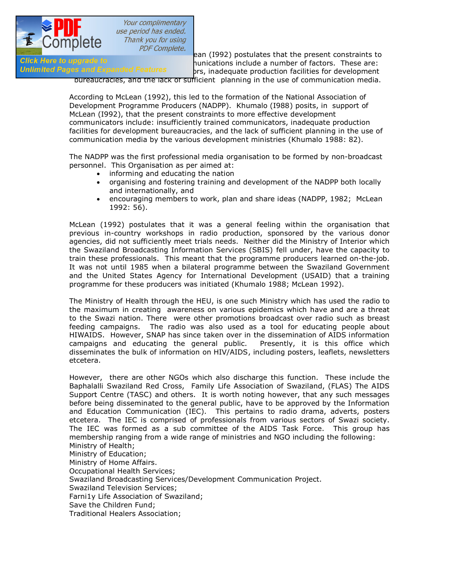

 $\frac{1}{\text{Click}}$  COTTIPICTC *PDF Complete.*<br>
ean (I992) postulates that the present constraints to<br>
ounications include a number of factors. These are: Glick Here to upgrade to **communications include a number of factors.** These are:<br>Unlimited Pages and Expanded Features are inadequate production facilities for development prs, inadequate production facilities for development

bureaucracies, and the lack of sufficient planning in the use of communication media.

According to McLean (1992), this led to the formation of the National Association of Development Programme Producers (NADPP). Khumalo (I988) posits, in support of McLean (I992), that the present constraints to more effective development communicators include: insufficiently trained communicators, inadequate production facilities for development bureaucracies, and the lack of sufficient planning in the use of communication media by the various development ministries (Khumalo 1988: 82).

The NADPP was the first professional media organisation to be formed by non-broadcast personnel. This Organisation as per aimed at:

- · informing and educating the nation
- · organising and fostering training and development of the NADPP both locally and internationally, and
- · encouraging members to work, plan and share ideas (NADPP, 1982; McLean 1992: 56).

McLean (1992) postulates that it was a general feeling within the organisation that previous in-country workshops in radio production, sponsored by the various donor agencies, did not sufficiently meet trials needs. Neither did the Ministry of Interior which the Swaziland Broadcasting Information Services (SBIS) fell under, have the capacity to train these professionals. This meant that the programme producers learned on-the-job. It was not until 1985 when a bilateral programme between the Swaziland Government and the United States Agency for International Development (USAID) that a training programme for these producers was initiated (Khumalo 1988; McLean 1992).

The Ministry of Health through the HEU, is one such Ministry which has used the radio to the maximum in creating awareness on various epidemics which have and are a threat to the Swazi nation. There were other promotions broadcast over radio such as breast feeding campaigns. The radio was also used as a tool for educating people about HIWAIDS. However, SNAP has since taken over in the dissemination of AIDS information campaigns and educating the general public. Presently, it is this office which disseminates the bulk of information on HIV/AIDS, including posters, leaflets, newsletters etcetera.

However, there are other NGOs which also discharge this function. These include the Baphalalli Swaziland Red Cross, Family Life Association of Swaziland, (FLAS) The AIDS Support Centre (TASC) and others. It is worth noting however, that any such messages before being disseminated to the general public, have to be approved by the Information and Education Communication (IEC). This pertains to radio drama, adverts, posters etcetera. The IEC is comprised of professionals from various sectors of Swazi society. The IEC was formed as a sub committee of the AIDS Task Force. This group has membership ranging from a wide range of ministries and NGO including the following: Ministry of Health; Ministry of Education; Ministry of Home Affairs. Occupational Health Services; Swaziland Broadcasting Services/Development Communication Project. Swaziland Television Services; Farni1y Life Association of Swaziland; Save the Children Fund;

Traditional Healers Association;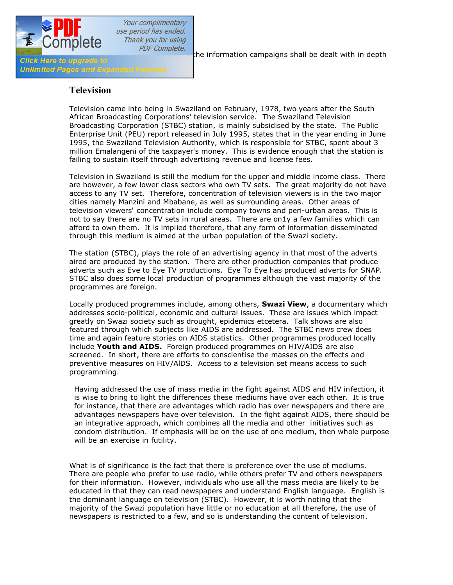

PDF Complete.<br>the information campaigns shall be dealt with in depth

### **Television**

Television came into being in Swaziland on February, 1978, two years after the South African Broadcasting Corporations' television service. The Swaziland Television Broadcasting Corporation (STBC) station, is mainly subsidised by the state. The Public Enterprise Unit (PEU) report released in July 1995, states that in the year ending in June 1995, the Swaziland Television Authority, which is responsible for STBC, spent about 3 million Emalangeni of the taxpayer's money. This is evidence enough that the station is failing to sustain itself through advertising revenue and license fees.

Television in Swaziland is still the medium for the upper and middle income class. There are however, a few lower class sectors who own TV sets. The great majority do not have access to any TV set. Therefore, concentration of television viewers is in the two major cities namely Manzini and Mbabane, as well as surrounding areas. Other areas of television viewers' concentration include company towns and peri-urban areas. This is not to say there are no TV sets in rural areas. There are on1y a few families which can afford to own them. It is implied therefore, that any form of information disseminated through this medium is aimed at the urban population of the Swazi society.

The station (STBC), plays the role of an advertising agency in that most of the adverts aired are produced by the station. There are other production companies that produce adverts such as Eve to Eye TV productions. Eye To Eye has produced adverts for SNAP. STBC also does sorne local production of programmes although the vast majority of the programmes are foreign.

Locally produced programmes include, among others, **Swazi View**, a documentary which addresses socio-political, economic and cultural issues. These are issues which impact greatly on Swazi society such as drought, epidemics etcetera. Talk shows are also featured through which subjects like AIDS are addressed. The STBC news crew does time and again feature stories on AIDS statistics. Other programmes produced locally include **Youth and AIDS.** Foreign produced programmes on HIV/AIDS are also screened. In short, there are efforts to conscientise the masses on the effects and preventive measures on HIV/AlDS. Access to a television set means access to such programming.

Having addressed the use of mass media in the fight against AIDS and HIV in fection, it is wise to bring to light the differences these mediums have over each other. It is true for instance, that there are advantages which radio has over newspapers and there are advantages newspapers have over television. In the fight against AIDS, there should be an integrative approach, which combines all the media and other initiatives such as condom distribution. If emphasis will be on the use of one medium, then whole purpose will be an exercise in futility.

What is of significance is the fact that there is preference over the use of mediums. There are people who prefer to use radio, while others prefer TV and others newspapers for their information. However, individuals who use all the mass media are likely to be educated in that they can read newspapers and understand English language. English is the dominant language on television (STBC). However, it is worth noting that the majority of the Swazi population have little or no education at all therefore, the use of newspapers is restricted to a few, and so is understanding the content of television.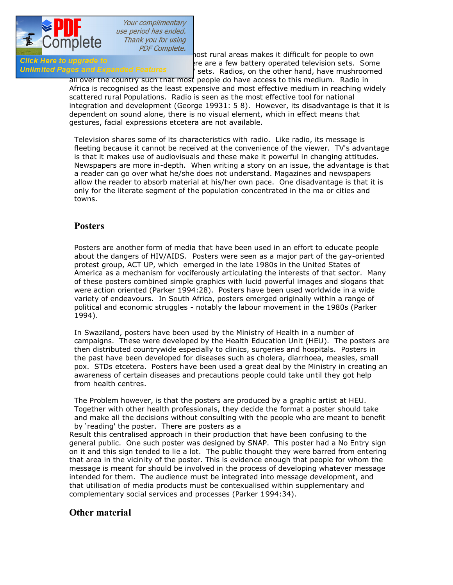

The UCTTIPICTC THE UNIVERSITY OF THE UNIVERSITY OF THE UNIVERSITY OF THE UNIVERSITY OF THE UNIVERSITY OF THE U<br>The are a few battery operated television sets. Som Girck Here to upgrade to<br>**Unlimited Pages and Expanded Features** 1 sets Radios on the other hand have mushroomed <sup>'</sup> sets. Radios, on the other hand, have mushroomed

all over the country such that most people do have access to this medium. Radio in Africa is recognised as the least expensive and most effective medium in reaching widely scattered rural Populations. Radio is seen as the most effective tool for national integration and development (George 19931: 5 8). However, its disadvantage is that it is dependent on sound alone, there is no visual element, which in effect means that gestures, facial expressions etcetera are not available.

Television shares some of its characteristics with radio. Like radio, its message is fleeting because it cannot be received at the convenience of the viewer. TV's advantage is that it makes use of audiovisuals and these make it powerful in changing attitudes. Newspapers are more in-depth. When writing a story on an issue, the advantage is that a reader can go over what he/she does not understand. Magazines and newspapers allow the reader to absorb material at his/her own pace. One disadvantage is that it is only for the literate segment of the population concentrated in the ma or cities and towns.

### **Posters**

Posters are another form of media that have been used in an effort to educate people about the dangers of HIV/AIDS. Posters were seen as a major part of the gay-oriented protest group, ACT UP, which emerged in the late 1980s in the United States of America as a mechanism for vociferously articulating the interests of that sector. Many of these posters combined simple graphics with lucid powerful images and slogans that were action oriented (Parker 1994:28). Posters have been used worldwide in a wide variety of endeavours. In South Africa, posters emerged originally within a range of political and economic struggles - notably the labour movement in the 1980s (Parker 1994).

In Swaziland, posters have been used by the Ministry of Health in a number of campaigns. These were developed by the Health Education Unit (HEU). The posters are then distributed countrywide especially to clinics, surgeries and hospitals. Posters in the past have been developed for diseases such as cholera, diarrhoea, measles, small pox. STDs etcetera. Posters have been used a great deal by the Ministry in creating an awareness of certain diseases and precautions people could take until they got help from health centres.

The Problem however, is that the posters are produced by a graphic artist at HEU. Together with other health professionals, they decide the format a poster should take and make all the decisions without consulting with the people who are meant to benefit by 'reading' the poster. There are posters as a

Result this centralised approach in their production that have been confusing to the general public. One such poster was designed by SNAP. This poster had a No Entry sign on it and this sign tended to lie a lot. The public thought they were barred from entering that area in the vicinity of the poster. This is evidence enough that people for whom the message is meant for should be involved in the process of developing whatever message intended for them. The audience must be integrated into message development, and that utilisation of media products must be contexualised within supplementary and complementary social services and processes (Parker 1994:34).

### **Other material**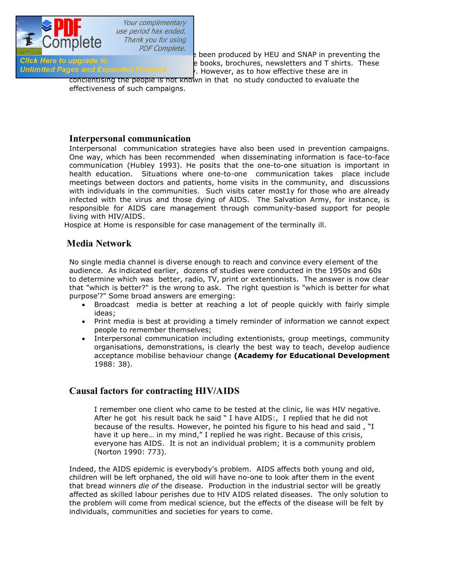

 $T$  COTTIPICTO *pDF Complete.*<br>B been produced by HEU and SNAP in preventing the<br>A books brochures, newsletters and T shirts. These spread of HIV/ AIDS. These include books, brochures, newsletters and T shirts. These  $\alpha$ . However, as to how effective these are in

concientising the people is not known in that no study conducted to evaluate the effectiveness of such campaigns.

### **Interpersonal communication**

Interpersonal communication strategies have also been used in prevention campaigns. One way, which has been recommended when disseminating information is face-to-face communication (Hubley 1993). He posits that the one-to-one situation is important in health education. Situations where one-to-one communication takes place include meetings between doctors and patients, home visits in the community, and discussions with individuals in the communities. Such visits cater most1y for those who are already infected with the virus and those dying of AIDS. The Salvation Army, for instance, is responsible for AIDS care management through community-based support for people living with HIV/AIDS.

Hospice at Home is responsible for case management of the terminally ill.

## **Media Network**

No single media channel is diverse enough to reach and convince every element of the audience. As indicated earlier, dozens of studies were conducted in the 1950s and 60s to determine which was better, radio, TV, print or extentionists. The answer is now clear that "which is better?" is the wrong to ask. The right question is "which is better for what purpose'?" Some broad answers are emerging:

- · Broadcast media is better at reaching a lot of people quickly with fairly simple ideas;
- · Print media is best at providing a timely reminder of information we cannot expect people to remember themselves;
- · Interpersonal communication including extentionists, group meetings, community organisations, demonstrations, is clearly the best way to teach, develop audience acceptance mobilise behaviour change **(Academy for Educational Development**  1988: 38).

### **Causal factors for contracting HIV/AIDS**

I remember one client who came to be tested at the clinic, lie was HIV negative. After he got his result back he said " I have AIDS:, I replied that he did not because of the results. However, he pointed his figure to his head and said , "I have it up here... in my mind," I replied he was right. Because of this crisis, everyone has AIDS. It is not an individual problem; it is a community problem (Norton 1990: 773).

Indeed, the AIDS epidemic is everybody's problem. AIDS affects both young and old, children will be left orphaned, the old will have no-one to look after them in the event that bread winners *die of* the disease. Production in the industrial sector will be greatly affected as skilled labour perishes due to HIV AIDS related diseases. The only solution to the problem will come from medical science, but the effects of the disease will be felt by individuals, communities and societies for years to come.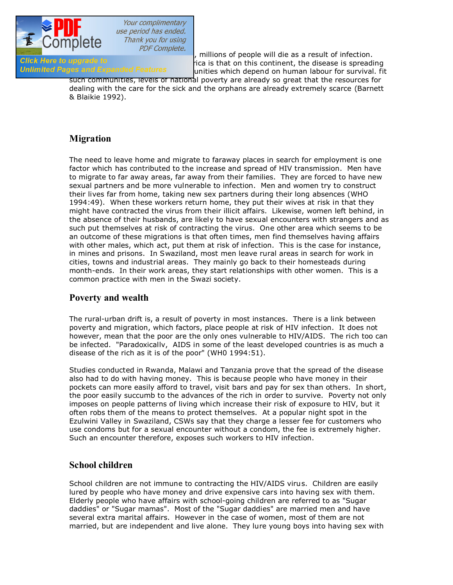

In the absence of a cure of a cure of a cure of a cure of a cure of a cure of a cure of a cure of a cure or va<br>In the absence of a cure of the disease is spreading the disease is spreading the disease is spreading the dise Girck Here to upgrade to importance of the state of this continent, the disease is spreading<br>Unlimited Pages and Expanded Features in unities which depend on human labour for survival fit unities which depend on human labour for survival. fit

such communities, levels of national poverty are already so great that the resources for dealing with the care for the sick and the orphans are already extremely scarce (Barnett & Blaikie 1992).

# **Migration**

The need to leave home and migrate to faraway places in search for employment is one factor which has contributed to the increase and spread of HIV transmission. Men have to migrate to far away areas, far away from their families. They are forced to have new sexual partners and be more vulnerable to infection. Men and women try to construct their lives far from home, taking new sex partners during their long absences (WHO 1994:49). When these workers return home, they put their wives at risk in that they might have contracted the virus from their illicit affairs. Likewise, women left behind, in the absence of their husbands, are likely to have sexual encounters with strangers and as such put themselves at risk of contracting the virus. One other area which seems to be an outcome of these migrations is that often times, men find themselves having affairs with other males, which act, put them at risk of infection. This is the case for instance, in mines and prisons. In Swaziland, most men leave rural areas in search for work in cities, towns and industrial areas. They mainly go back to their homesteads during month-ends. In their work areas, they start relationships with other women. This is a common practice with men in the Swazi society.

### **Poverty and wealth**

The rural-urban drift is, a result of poverty in most instances. There is a link between poverty and migration, which factors, place people at risk of HIV infection. It does not however, mean that the poor are the only ones vulnerable to HIV/AIDS. The rich too can be infected. "Paradoxicallv, AIDS in some of the least developed countries is as much a disease of the rich as it is of the poor" (WH0 1994:51).

Studies conducted in Rwanda, Malawi and Tanzania prove that the spread of the disease also had to do with having money. This is because people who have money in their pockets can more easily afford to travel, visit bars and pay for sex than others. In short, the poor easily succumb to the advances of the rich in order to survive. Poverty not only imposes on people patterns of living which increase their risk of exposure to HIV, but it often robs them of the means to protect themselves. At a popular night spot in the Ezulwini Valley in Swaziland, CSWs say that they charge a lesser fee for customers who use condoms but for a sexual encounter without a condom, the fee is extremely higher. Such an encounter therefore, exposes such workers to HIV infection.

### **School children**

School children are not immune to contracting the HIV/AIDS virus. Children are easily lured by people who have money and drive expensive cars into having sex with them. Elderly people who have affairs with school-going children are referred to as "Sugar daddies" or "Sugar mamas". Most of the "Sugar daddies" are married men and have several extra marital affairs. However in the case of women, most of them are not married, but are independent and live alone. They lure young boys into having sex with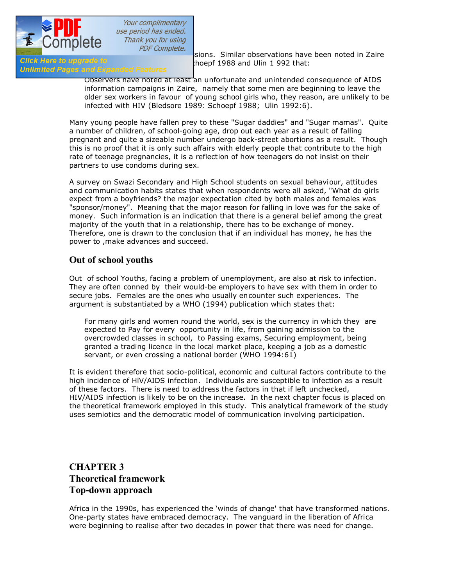

Circk Here to upgrade to depended Features ... hoepf 1988 and Ulin 1 992 that:<br>Unlimited Pages and Expanded Features

**the COTTIPICTC**<br> $PDF Complete.$  sions. Similar observations have been noted in Zaire<br>hoepf 1988 and Ulin 1992 that:

Observers have noted at least an unfortunate and unintended consequence of AIDS information campaigns in Zaire, namely that some men are beginning to leave the older sex workers in favour of young school girls who, they reason, are unlikely to be infected with HIV (Bledsore 1989: Schoepf 1988; Ulin 1992:6).

Many young people have fallen prey to these "Sugar daddies" and "Sugar mamas". Quite a number of children, of school-going age, drop out each year as a result of falling pregnant and quite a sizeable number undergo back-street abortions as a result. Though this is no proof that it is only such affairs with elderly people that contribute to the high rate of teenage pregnancies, it is a reflection of how teenagers do not insist on their partners to use condoms during sex.

A survey on Swazi Secondary and High School students on sexual behaviour, attitudes and communication habits states that when respondents were all asked, "What do girls expect from a boyfriends? the major expectation cited by both males and females was "sponsor/money". Meaning that the major reason for falling in love was for the sake of money. Such information is an indication that there is a general belief among the great majority of the youth that in a relationship, there has to be exchange of money. Therefore, one is drawn to the conclusion that if an individual has money, he has the power to ,make advances and succeed.

### **Out of school youths**

Out of school Youths, facing a problem of unemployment, are also at risk to infection. They are often conned by their would-be employers to have sex with them in order to secure jobs. Females are the ones who usually encounter such experiences. The argument is substantiated by a WHO (1994) publication which states that:

For many girls and women round the world, sex is the currency in which they are expected to Pay for every opportunity in life, from gaining admission to the overcrowded classes in school, to Passing exams, Securing employment, being granted a trading licence in the local market place, keeping a job as a domestic servant, or even crossing a national border (WHO 1994:61)

It is evident therefore that socio-political, economic and cultural factors contribute to the high incidence of HlV/AIDS infection. Individuals are susceptible to infection as a result of these factors. There is need to address the factors in that if left unchecked, HIV/AIDS infection is likely to be on the increase. In the next chapter focus is placed on the theoretical framework employed in this study. This analytical framework of the study uses semiotics and the democratic model of communication involving participation.

# **CHAPTER 3 Theoretical framework Top-down approach**

Africa in the 1990s, has experienced the 'winds of change' that have transformed nations. One-party states have embraced democracy. The vanguard in the liberation of Africa were beginning to realise after two decades in power that there was need for change.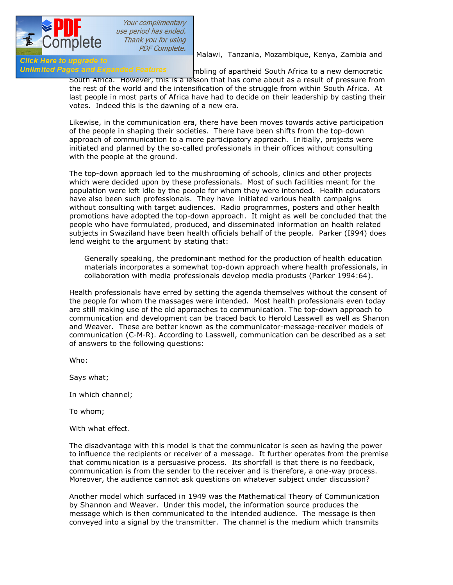

PDF Complete.<br>Malawi, Tanzania, Mozambique, Kenya, Zambia and

### **Click Here to upgrade to<br>Unlimited Pages and Expanded Features** mbling of apartheid South Africa to a new democratic South Africa. However, this is a lesson that has come about as a result of pressure from the rest of the world and the intensification of the struggle from within South Africa. At last people in most parts of Africa have had to decide on their leadership by casting their votes. Indeed this is the dawning of a new era.

Likewise, in the communication era, there have been moves towards active participation of the people in shaping their societies. There have been shifts from the top-down approach of communication to a more participatory approach. Initially, projects were initiated and planned by the so-called professionals in their offices without consulting with the people at the ground.

The top-down approach led to the mushrooming of schools, clinics and other projects which were decided upon by these professionals. Most of such facilities meant for the population were left idle by the people for whom they were intended. Health educators have also been such professionals. They have initiated various health campaigns without consulting with target audiences. Radio programmes, posters and other health promotions have adopted the top-down approach. It might as well be concluded that the people who have formulated, produced, and disseminated information on health related subjects in Swaziland have been health officials behalf of the people. Parker (I994) does lend weight to the argument by stating that:

Generally speaking, the predominant method for the production of health education materials incorporates a somewhat top-down approach where health professionals, in collaboration with media professionals develop media produsts (Parker 1994:64).

Health professionals have erred by setting the agenda themselves without the consent of the people for whom the massages were intended. Most health professionals even today are still making use of the old approaches to communication. The top-down approach to communication and development can be traced back to Herold Lasswell as well as Shanon and Weaver. These are better known as the communicator-message-receiver models of communication (C-M-R). According to Lasswell, communication can be described as a set of answers to the following questions:

Who:

Says what;

In which channel;

To whom;

With what effect.

The disadvantage with this model is that the communicator is seen as having the power to influence the recipients or receiver of a message. It further operates from the premise that communication is a persuasive process. Its shortfall is that there is no feedback, communication is from the sender to the receiver and is therefore, a one-way process. Moreover, the audience cannot ask questions on whatever subject under discussion?

Another model which surfaced in 1949 was the Mathematical Theory of Communication by Shannon and Weaver. Under this model, the information source produces the message which is then communicated to the intended audience. The message is then conveyed into a signal by the transmitter. The channel is the medium which transmits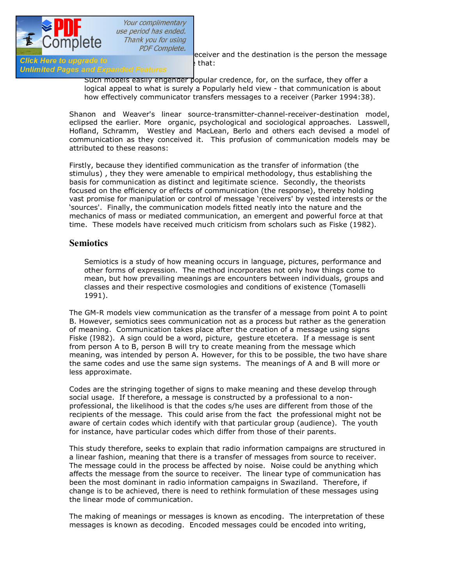

PDF Complete.<br>
receiver and the destination is the person the message

# **Click Here to upgrade to**<br>**Unlimited Pages and Expanded Features** that:

Such models easily engender popular credence, for, on the surface, they offer a logical appeal to what is surely a Popularly held view - that communication is about how effectively communicator transfers messages to a receiver (Parker 1994:38).

Shanon and Weaver's linear source-transmitter-channel-receiver-destination model, eclipsed the earlier. More organic, psychological and sociological approaches. Lasswell, Hofland, Schramm, Westley and MacLean, Berlo and others each devised a model of communication as they conceived it. This profusion of communication models may be attributed to these reasons:

Firstly, because they identified communication as the transfer of information (the stimulus) , they they were amenable to empirical methodology, thus establishing the basis for communication as distinct and legitimate science. Secondly, the theorists focused on the efficiency or effects of communication (the response), thereby holding vast promise for manipulation or control of message 'receivers' by vested interests or the 'sources'. Finally, the communication models fitted neatly into the nature and the mechanics of mass or mediated communication, an emergent and powerful force at that time. These models have received much criticism from scholars such as Fiske (1982).

### **Semiotics**

Semiotics is a study of how meaning occurs in language, pictures, performance and other forms of expression. The method incorporates not only how things come to mean, but how prevailing meanings are encounters between individuals, groups and classes and their respective cosmologies and conditions of existence (Tomaselli 1991).

The GM-R models view communication as the transfer of a message from point A to point B. However, semiotics sees communication not as a process but rather as the generation of meaning. Communication takes place after the creation of a message using signs Fiske (I982). A sign could be a word, picture, gesture etcetera. If a message is sent from person A to B, person B will try to create meaning from the message which meaning, was intended by person A. However, for this to be possible, the two have share the same codes and use the same sign systems. The meanings of A and B will more or less approximate.

Codes are the stringing together of signs to make meaning and these develop through social usage. If therefore, a message is constructed by a professional to a nonprofessional, the likelihood is that the codes s/he uses are different from those of the recipients of the message. This could arise from the fact the professional might not be aware of certain codes which identify with that particular group (audience). The youth for instance, have particular codes which differ from those of their parents.

This study therefore, seeks to explain that radio information campaigns are structured in a linear fashion, meaning that there is a transfer of messages from source to receiver. The message could in the process be affected by noise. Noise could be anything which affects the message from the source to receiver. The linear type of communication has been the most dominant in radio information campaigns in Swaziland. Therefore, if change is to be achieved, there is need to rethink formulation of these messages using the linear mode of communication.

The making of meanings or messages is known as encoding. The interpretation of these messages is known as decoding. Encoded messages could be encoded into writing,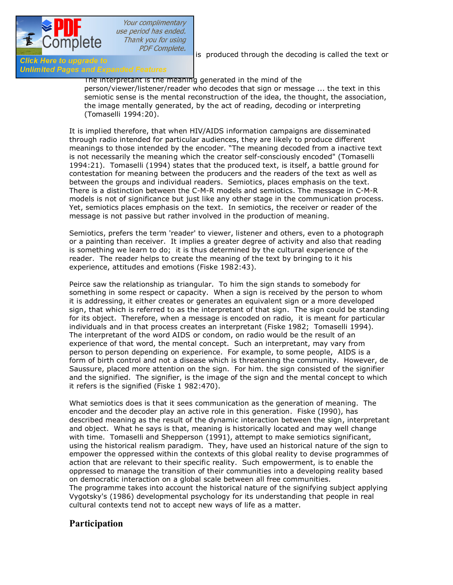

PDF Complete.<br>is produced through the decoding is called the text or

# Click Here to upgrade to<br>Unlimited Pages and Expanded Features

The interpretant is the meaning generated in the mind of the person/viewer/listener/reader who decodes that sign or message ... the text in this semiotic sense is the mental reconstruction of the idea, the thought, the association, the image mentally generated, by the act of reading, decoding or interpreting (Tomaselli 1994:20).

It is implied therefore, that when HIV/AIDS information campaigns are disseminated through radio intended for particular audiences, they are likely to produce different meanings to those intended by the encoder. "The meaning decoded from a inactive text is not necessarily the meaning which the creator self-consciously encoded" (Tomaselli 1994:21). Tomaselli (1994) states that the produced text, is itself, a battle ground for contestation for meaning between the producers and the readers of the text as well as between the groups and individual readers. Semiotics, places emphasis on the text. There is a distinction between the C-M-R models and semiotics. The message in C-M-R models is not of significance but just like any other stage in the communication process. Yet, semiotics places emphasis on the text. In semiotics, the receiver or reader of the message is not passive but rather involved in the production of meaning.

Semiotics, prefers the term 'reader' to viewer, listener and others, even to a photograph or a painting than receiver. It implies a greater degree of activity and also that reading is something we learn to do; it is thus determined by the cultural experience of the reader. The reader helps to create the meaning of the text by bringing to it his experience, attitudes and emotions (Fiske 1982:43).

Peirce saw the relationship as triangular. To him the sign stands to somebody for something in some respect or capacity. When a sign is received by the person to whom it is addressing, it either creates or generates an equivalent sign or a more developed sign, that which is referred to as the interpretant of that sign. The sign could be standing for its object. Therefore, when a message is encoded on radio, it is meant for particular individuals and in that process creates an interpretant (Fiske 1982; Tomaselli 1994). The interpretant of the word AIDS or condom, on radio would be the result of an experience of that word, the mental concept. Such an interpretant, may vary from person to person depending on experience. For example, to some people, AIDS is a form of birth control and not a disease which is threatening the community. However, de Saussure, placed more attention on the sign. For him. the sign consisted of the signifier and the signified. The signifier, is the image of the sign and the mental concept to which it refers is the signified (Fiske 1 982:470).

What semiotics does is that it sees communication as the generation of meaning. The encoder and the decoder play an active role in this generation. Fiske (I990), has described meaning as the result of the dynamic interaction between the sign, interpretant and object. What he says is that, meaning is historically located and may well change with time. Tomaselli and Shepperson (1991), attempt to make semiotics significant, using the historical realism paradigm. They, have used an historical nature of the sign to empower the oppressed within the contexts of this global reality to devise programmes of action that are relevant to their specific reality. Such empowerment, is to enable the oppressed to manage the transition of their communities into a developing reality based on democratic interaction on a global scale between all free communities. The programme takes into account the historical nature of the signifying subject applying Vygotsky's (1986) developmental psychology for its understanding that people in real cultural contexts tend not to accept new ways of life as a matter.

### **Participation**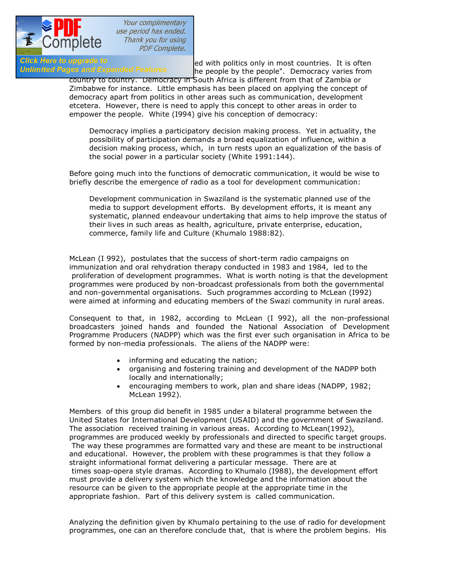

Your complimentary use period has ended. Thank you for using **PDF Complete.** 

Click Here to upgrade to<br>
Unlimited Pages and Expanded Features<br>
The people by the people" Democracy varies from he people by the people". Democracy varies from

country to country. Democracy in South Africa is different from that of Zambia or Zimbabwe for instance. Little emphasis has been placed on applying the concept of democracy apart from politics in other areas such as communication, development etcetera. However, there is need to apply this concept to other areas in order to empower the people. White (I994) give his conception of democracy:

Democracy implies a participatory decision making process. Yet in actuality, the possibility of participation demands a broad equalization of influence, within a decision making process, which, in turn rests upon an equalization of the basis of the social power in a particular society (White 1991:144).

Before going much into the functions of democratic communication, it would be wise to briefly describe the emergence of radio as a tool for development communication:

Development communication in Swaziland is the systematic planned use of the media to support development efforts. By development efforts, it is meant any systematic, planned endeavour undertaking that aims to help improve the status of their lives in such areas as health, agriculture, private enterprise, education, commerce, family life and Culture (Khumalo 1988:82).

McLean (I 992), postulates that the success of short-term radio campaigns on immunization and oral rehydration therapy conducted in 1983 and 1984, led to the proliferation of development programmes. What is worth noting is that the development programmes were produced by non-broadcast professionals from both the governmental and non-governmental organisations. Such programmes according to McLean (I992) were aimed at informing and educating members of the Swazi community in rural areas.

Consequent to that, in 1982, according to McLean (I 992), all the non-professional broadcasters joined hands and founded the National Association of Development Programme Producers (NADPP) which was the first ever such organisation in Africa to be formed by non-media professionals. The aliens of the NADPP were:

- · informing and educating the nation;
- · organising and fostering training and development of the NADPP both locally and internationally;
- · encouraging members to work, plan and share ideas (NADPP, 1982; McLean 1992).

Members of this group did benefit in 1985 under a bilateral programme between the United States for International Development (USAID) and the government of Swaziland. The association received training in various areas. According to McLean(1992), programmes are produced weekly by professionals and directed to specific target groups. The way these programmes are formatted vary and these are meant to be instructional and educational. However, the problem with these programmes is that they follow a straight informational format delivering a particular message. There are at times soap-opera style dramas. According to Khumalo (I988), the development effort must provide a delivery system which the knowledge and the information about the resource can be given to the appropriate people at the appropriate time in the appropriate fashion. Part of this delivery system is called communication.

Analyzing the definition given by Khumalo pertaining to the use of radio for development programmes, one can an therefore conclude that, that is where the problem begins. His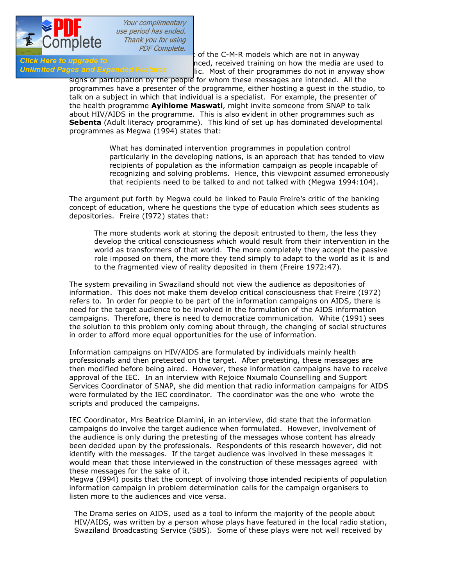

definition of the C-M-R models which are not in anyway<br>Click Here to upgrade to entitled and the official areas incedification in anyway Girck Here to upgrade to<br>**Unlimited Pages and Expanded Features** The Most of their programmes do not in anyway show lic. Most of their programmes do not in anyway show

signs of participation by the people for whom these messages are intended. All the programmes have a presenter of the programme, either hosting a guest in the studio, to talk on a subject in which that individual is a specialist. For example, the presenter of the health programme **Ayihlome Maswati**, might invite someone from SNAP to talk about HIV/AIDS in the programme. This is also evident in other programmes such as **Sebenta** (Adult literacy programme). This kind of set up has dominated developmental programmes as Megwa (1994) states that:

> What has dominated intervention programmes in population control particularly in the developing nations, is an approach that has tended to view recipients of population as the information campaign as people incapable of recognizing and solving problems. Hence, this viewpoint assumed erroneously that recipients need to be talked to and not talked with (Megwa 1994:104).

The argument put forth by Megwa could be linked to Paulo Freire's critic of the banking concept of education, where he questions the type of education which sees students as depositories. Freire (I972) states that:

The more students work at storing the deposit entrusted to them, the less they develop the critical consciousness which would result from their intervention in the world as transformers of that world. The more completely they accept the passive role imposed on them, the more they tend simply to adapt to the world as it is and to the fragmented view of reality deposited in them (Freire 1972:47).

The system prevailing in Swaziland should not view the audience as depositories of information. This does not make them develop critical consciousness that Freire (I972) refers to. In order for people to be part of the information campaigns on AIDS, there is need for the target audience to be involved in the formulation of the AIDS information campaigns. Therefore, there is need to democratize communication. White (1991) sees the solution to this problem only coming about through, the changing of social structures in order to afford more equal opportunities for the use of information.

Information campaigns on HIV/AIDS are formulated by individuals mainly health professionals and then pretested on the target. After pretesting, these messages are then modified before being aired. However, these information campaigns have to receive approval of the IEC. In an interview with Rejoice Nxumalo Counselling and Support Services Coordinator of SNAP, she did mention that radio information campaigns for AIDS were formulated by the IEC coordinator. The coordinator was the one who wrote the scripts and produced the campaigns.

IEC Coordinator, Mrs Beatrice Dlamini, in an interview, did state that the information campaigns do involve the target audience when formulated. However, involvement of the audience is only during the pretesting of the messages whose content has already been decided upon by the professionals. Respondents of this research however, did not identify with the messages. If the target audience was involved in these messages it would mean that those interviewed in the construction of these messages agreedwith these messages for the sake of it.

Megwa (I994) posits that the concept of involving those intended recipients of population information campaign in problem determination calls for the campaign organisers to listen more to the audiences and vice versa.

The Drama series on AIDS, used as a tool to inform the majority of the people about HIV/AIDS, was written by a person whose plays have featured in the local radio station, Swaziland Broadcasting Service (SBS). Some of these plays were not well received by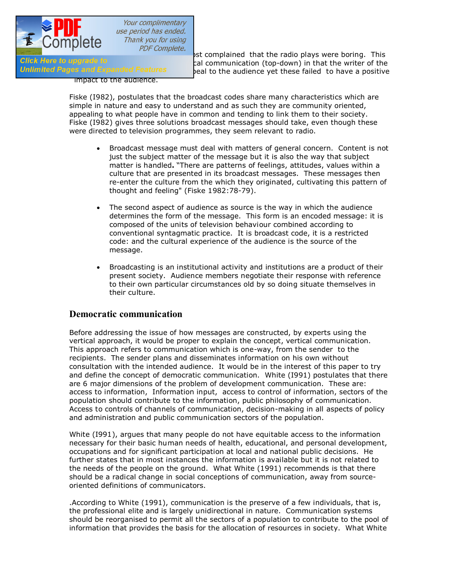

**the response to COTTIPICTC**<br>31 st complained that the radio plays were boring. This<br>31 communication (ton-down) in that the writer of the Girck Here to upgrade to indication (top-down) in that the writer of the call communication (top-down) in that the writer of the Unimited Pages and Expanded Features peal to the audience yet these failed to have a positive

impact to the audience.

Fiske (I982), postulates that the broadcast codes share many characteristics which are simple in nature and easy to understand and as such they are community oriented, appealing to what people have in common and tending to link them to their society. Fiske (I982) gives three solutions broadcast messages should take, even though these were directed to television programmes, they seem relevant to radio.

- · Broadcast message must deal with matters of general concern. Content is not just the subject matter of the message but it is also the way that subject matter is handled**.** "There are patterns of feelings, attitudes, values within a culture that are presented in its broadcast messages. These messages then re-enter the culture from the which they originated, cultivating this pattern of thought and feeling" (Fiske 1982:78-79).
- · The second aspect of audience as source is the way in which the audience determines the form of the message. This form is an encoded message: it is composed of the units of television behaviour combined according to conventional syntagmatic practice. It is broadcast code, it is a restricted code: and the cultural experience of the audience is the source of the message.
- · Broadcasting is an institutional activity and institutions are a product of their present society. Audience members negotiate their response with reference to their own particular circumstances old by so doing situate themselves in their culture.

### **Democratic communication**

Before addressing the issue of how messages are constructed, by experts using the vertical approach, it would be proper to explain the concept, vertical communication. This approach refers to communication which is one-way, from the sender to the recipients. The sender plans and disseminates information on his own without consultation with the intended audience. It would be in the interest of this paper to try and define the concept of democratic communication. White (I991) postulates that there are 6 major dimensions of the problem of development communication. These are: access to information, Information input, access to control of information, sectors of the population should contribute to the information, public philosophy of communication. Access to controls of channels of communication, decision-making in all aspects of policy and administration and public communication sectors of the population.

White (I991), argues that many people do not have equitable access to the information necessary for their basic human needs of health, educational, and personal development, occupations and for significant participation at local and national public decisions. He further states that in most instances the information is available but it is not related to the needs of the people on the ground. What White (1991) recommends is that there should be a radical change in social conceptions of communication, away from sourceoriented definitions of communicators.

.According to White (1991), communication is the preserve of a few individuals, that is, the professional elite and is largely unidirectional in nature. Communication systems should be reorganised to permit all the sectors of a population to contribute to the pool of information that provides the basis for the allocation of resources in society. What White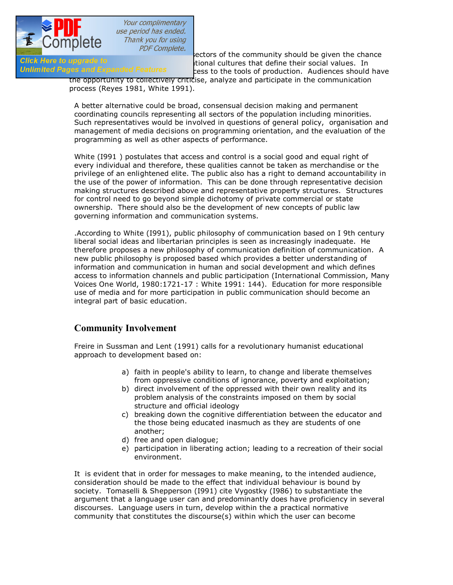

[\(I991\) is advocating for is that all s](http://www.pdfcomplete.com/cms/hppl/tabid/108/Default.aspx?r=q8b3uige22)ectors of the community should be given the chance Girck Here to upgrade to earning to the formational cultures that define their social values. In<br>Unlimited Pages and Expanded Features and the tools of production. Audiences should cess to the tools of production. Audiences should have

the opportunity to collectively criticise, analyze and participate in the communication process (Reyes 1981, White 1991).

A better alternative could be broad, consensual decision making and permanent coordinating councils representing all sectors of the population including minorities. Such representatives would be involved in questions of general policy, organisation and management of media decisions on programming orientation, and the evaluation of the programming as well as other aspects of performance.

White (I991 ) postulates that access and control is a social good and equal right of every individual and therefore, these qualities cannot be taken as merchandise or the privilege of an enlightened elite. The public also has a right to demand accountability in the use of the power of information. This can be done through representative decision making structures described above and representative property structures. Structures for control need to go beyond simple dichotomy of private commercial or state ownership. There should also be the development of new concepts of public law governing information and communication systems.

.According to White (I991), public philosophy of communication based on I 9th century liberal social ideas and libertarian principles is seen as increasingly inadequate. He therefore proposes a new philosophy of communication definition of communication. A new public philosophy is proposed based which provides a better understanding of information and communication in human and social development and which defines access to information channels and public participation (International Commission, Many Voices One World, 1980:1721-17 : White 1991: 144). Education for more responsible use of media and for more participation in public communication should become an integral part of basic education.

# **Community Involvement**

Freire in Sussman and Lent (1991) calls for a revolutionary humanist educational approach to development based on:

- a) faith in people's ability to learn, to change and liberate themselves from oppressive conditions of ignorance, poverty and exploitation;
- b) direct involvement of the oppressed with their own reality and its problem analysis of the constraints imposed on them by social structure and official ideology
- c) breaking down the cognitive differentiation between the educator and the those being educated inasmuch as they are students of one another;
- d) free and open dialogue;
- e) participation in liberating action; leading to a recreation of their social environment.

It is evident that in order for messages to make meaning, to the intended audience, consideration should be made to the effect that individual behaviour is bound by society. Tomaselli & Shepperson (I991) cite Vygostky (I986) to substantiate the argument that a language user can and predominantly does have proficiency in several discourses. Language users in turn, develop within the a practical normative community that constitutes the discourse(s) within which the user can become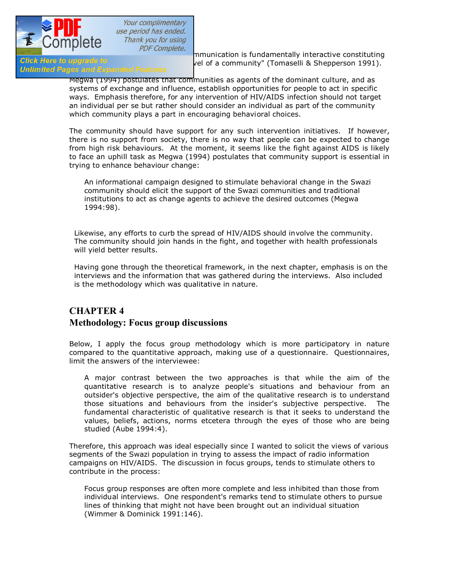

**proficiently to the subsetion of the complete.**<br>
mmunication is fundamentally interactive constituting<br>
vel of a community" (Tomaselli & Shepperson 1991). Gick Here to upgrade to discourse to discourse at a community" (Tomaselli & Shepperson 1991).<br>Unlimited Pages and Expanded Features

> Megwa (1994) postulates that communities as agents of the dominant culture, and as systems of exchange and influence, establish opportunities for people to act in specific ways. Emphasis therefore, for any intervention of HIV/AIDS infection should not target an individual per se but rather should consider an individual as part of the community which community plays a part in encouraging behavioral choices.

The community should have support for any such intervention initiatives. If however, there is no support from society, there is no way that people can be expected to change from high risk behaviours. At the moment, it seems like the fight against AIDS is likely to face an uphill task as Megwa (1994) postulates that community support is essential in trying to enhance behaviour change:

An informational campaign designed to stimulate behavioral change in the Swazi community should elicit the support of the Swazi communities and traditional institutions to act as change agents to achieve the desired outcomes (Megwa 1994:98).

Likewise, any efforts to curb the spread of HIV/AIDS should involve the community. The community should join hands in the fight, and together with health professionals will yield better results.

Having gone through the theoretical framework, in the next chapter, emphasis is on the interviews and the information that was gathered during the interviews. Also included is the methodology which was qualitative in nature.

# **CHAPTER 4 Methodology: Focus group discussions**

Below, I apply the focus group methodology which is more participatory in nature compared to the quantitative approach, making use of a questionnaire. Questionnaires, limit the answers of the interviewee:

A major contrast between the two approaches is that while the aim of the quantitative research is to analyze people's situations and behaviour from an outsider's objective perspective, the aim of the qualitative research is to understand those situations and behaviours from the insider's subjective perspective. The fundamental characteristic of qualitative research is that it seeks to understand the values, beliefs, actions, norms etcetera through the eyes of those who are being studied (Aube 1994:4).

Therefore, this approach was ideal especially since I wanted to solicit the views of various segments of the Swazi population in trying to assess the impact of radio information campaigns on HIV/AIDS. The discussion in focus groups, tends to stimulate others to contribute in the process:

Focus group responses are often more complete and less inhibited than those from individual interviews. One respondent's remarks tend to stimulate others to pursue lines of thinking that might not have been brought out an individual situation (Wimmer & Dominick 1991:146).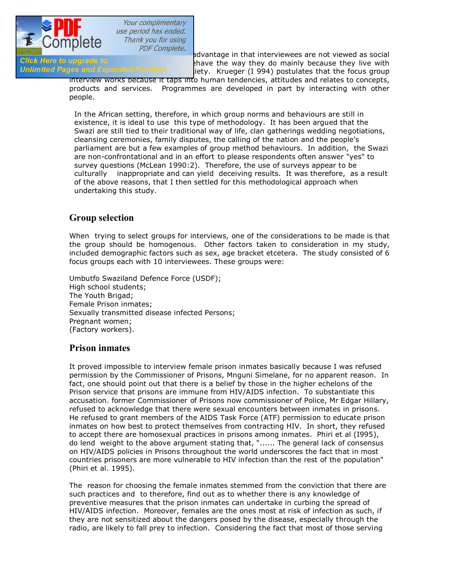

For the advantage in that interviewees are not viewed as social<br>Click Here to upgrade to enable to shave the way they do mainly because they live with Girck Here to upgrade to<br>**Unlimited Pages and Expanded Features** and acture the way they do mainly because they live with  $i$ iety. Krueger (I 994) postulates that the focus group

interview works because it taps into human tendencies, attitudes and relates to concepts, products and services. Programmes are developed in part by interacting with other people.

In the African setting, therefore, in which group norms and behaviours are still in existence, it is ideal to use this type of methodology. It has been argued that the Swazi are still tied to their traditional way of life, clan gatherings wedding negotiations, cleansing ceremonies, family disputes, the calling of the nation and the people's parliament are but a few examples of group method behaviours. In addition, the Swazi are non-confrontational and in an effort to please respondents often answer "yes" to survey questions (McLean 1990:2). Therefore, the use of surveys appear to be culturally inappropriate and can yield deceiving results. It was therefore, as a result of the above reasons, that I then settled for this methodological approach when undertaking this study.

## **Group selection**

When trying to select groups for interviews, one of the considerations to be made is that the group should be homogenous. Other factors taken to consideration in my study, included demographic factors such as sex, age bracket etcetera. The study consisted of 6 focus groups each with 10 interviewees. These groups were:

Umbutfo Swaziland Defence Force (USDF); High school students; The Youth Brigad; Female Prison inmates; Sexually transmitted disease infected Persons; Pregnant women; (Factory workers).

### **Prison inmates**

It proved impossible to interview female prison inmates basically because I was refused permission by the Commissioner of Prisons, Mnguni Simelane, for no apparent reason. In fact, one should point out that there is a belief by those in the higher echelons of the Prison service that prisons are immune from HIV/AIDS infection. To substantiate this accusation. former Commissioner of Prisons now commissioner of Police, Mr Edgar Hillary, refused to acknowledge that there were sexual encounters between inmates in prisons. He refused to grant members of the AIDS Task Force (ATF) permission to educate prison inmates on how best to protect themselves from contracting HIV. In short, they refused to accept there are homosexual practices in prisons among inmates. Phiri et al (I995), do lend weight to the above argument stating that, "...... The general lack of consensus on HIV/AIDS policies in Prisons throughout the world underscores the fact that in most countries prisoners are more vulnerable to HIV infection than the rest of the population" (Phiri et al. 1995).

The reason for choosing the female inmates stemmed from the conviction that there are such practices and to therefore, find out as to whether there is any knowledge of preventive measures that the prison inmates can undertake in curbing the spread of HIV/AIDS infection. Moreover, females are the ones most at risk of infection as such, if they are not sensitized about the dangers posed by the disease, especially through the radio, are likely to fall prey to infection. Considering the fact that most of those serving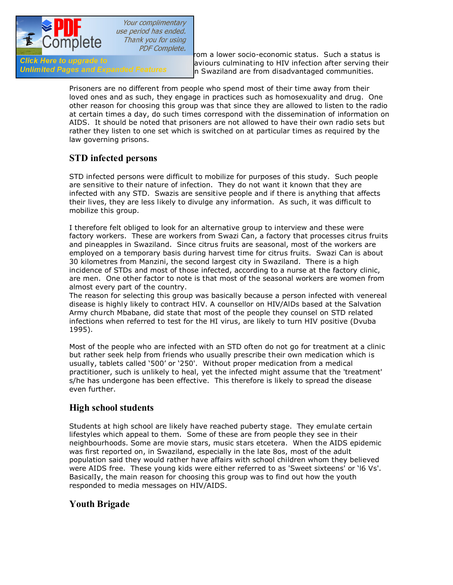

**their sentence are in the in most cases are in most cases from a lower socio-economic status.** Such a status is<br>Click Here to upgrade to **in the serving the serving the serving** the serving the GICK Here to upgrade to high read them aviours culminating to HIV infection after serving their<br>Unlimited Pages and Expanded Features high polynariland are from disadvantaged communities n Swaziland are from disadvantaged communities.

> Prisoners are no different from people who spend most of their time away from their loved ones and as such, they engage in practices such as homosexuality and drug. One other reason for choosing this group was that since they are allowed to listen to the radio at certain times a day, do such times correspond with the dissemination of information on AIDS. It should be noted that prisoners are not allowed to have their own radio sets but rather they listen to one set which is switched on at particular times as required by the law governing prisons.

# **STD infected persons**

STD infected persons were difficult to mobilize for purposes of this study. Such people are sensitive to their nature of infection. They do not want it known that they are infected with any STD. Swazis are sensitive people and if there is anything that affects their lives, they are less likely to divulge any information. As such, it was difficult to mobilize this group.

I therefore felt obliged to look for an alternative group to interview and these were factory workers. These are workers from Swazi Can, a factory that processes citrus fruits and pineapples in Swaziland. Since citrus fruits are seasonal, most of the workers are employed on a temporary basis during harvest time for citrus fruits. Swazi Can is about 30 kilometres from Manzini, the second largest city in Swaziland. There is a high incidence of STDs and most of those infected, according to a nurse at the factory clinic, are men. One other factor to note is that most of the seasonal workers are women from almost every part of the country.

The reason for selecting this group was basically because a person infected with venereal disease is highly likely to contract HIV. A counsellor on HIV/AlDs based at the Salvation Army church Mbabane, did state that most of the people they counsel on STD related infections when referred to test for the HI virus, are likely to turn HIV positive (Dvuba 1995).

Most of the people who are infected with an STD often do not go for treatment at a clinic but rather seek help from friends who usually prescribe their own medication which is usually, tablets called '500' or '250'. Without proper medication from a medical practitioner, such is unlikely to heal, yet the infected might assume that the 'treatment' s/he has undergone has been effective. This therefore is likely to spread the disease even further.

### **High school students**

Students at high school are likely have reached puberty stage. They emulate certain lifestyles which appeal to them. Some of these are from people they see in their neighbourhoods. Some are movie stars, music stars etcetera. When the AIDS epidemic was first reported on, in Swaziland, especially in the late 8os, most of the adult population said they would rather have affairs with school children whom they believed were AIDS free. These young kids were either referred to as 'Sweet sixteens' or 'l6 Vs'. BasicalIy, the main reason for choosing this group was to find out how the youth responded to media messages on HIV/AIDS.

### **Youth Brigade**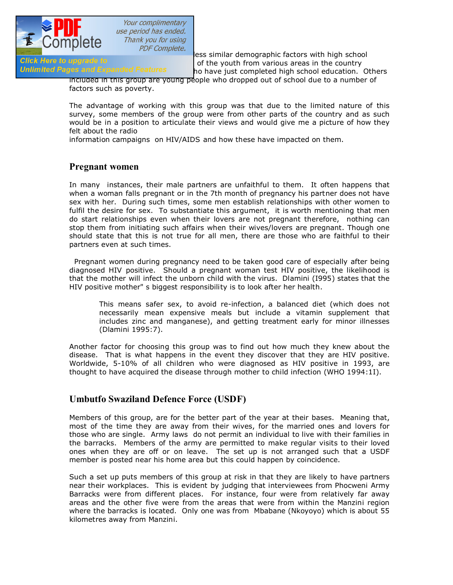

[The Youth Brigade shares more or l](http://www.pdfcomplete.com/cms/hppl/tabid/108/Default.aspx?r=q8b3uige22)ess similar demographic factors with high school Grick Here to upgrade to<br>Unlimited Pages and Expanded Features and the youth from various areas in the country ho have just completed high school education. Others

included in this group are young people who dropped out of school due to a number of factors such as poverty.

The advantage of working with this group was that due to the limited nature of this survey, some members of the group were from other parts of the country and as such would be in a position to articulate their views and would give me a picture of how they felt about the radio

information campaigns on HIV/AIDS and how these have impacted on them.

### **Pregnant women**

In many instances, their male partners are unfaithful to them. It often happens that when a woman falls pregnant or in the 7th month of pregnancy his partner does not have sex with her. During such times, some men establish relationships with other women to fulfil the desire for sex. To substantiate this argument, it is worth mentioning that men do start relationships even when their lovers are not pregnant therefore, nothing can stop them from initiating such affairs when their wives/lovers are pregnant. Though one should state that this is not true for all men, there are those who are faithful to their partners even at such times.

Pregnant women during pregnancy need to be taken good care of especially after being diagnosed HIV positive. Should a pregnant woman test HIV positive, the likelihood is that the mother will infect the unborn child with the virus. Dlamini (I995) states that the HIV positive mother" s biggest responsibility is to look after her health.

This means safer sex, to avoid re-infection, a balanced diet (which does not necessarily mean expensive meals but include a vitamin supplement that includes zinc and manganese), and getting treatment early for minor illnesses (Dlamini 1995:7).

Another factor for choosing this group was to find out how much they knew about the disease. That is what happens in the event they discover that they are HIV positive. Worldwide, 5-10% of all children who were diagnosed as HIV positive in 1993, are thought to have acquired the disease through mother to child infection (WHO 1994:1I).

### **Umbutfo Swaziland Defence Force (USDF)**

Members of this group, are for the better part of the year at their bases. Meaning that, most of the time they are away from their wives, for the married ones and lovers for those who are single. Army laws do not permit an individual to live with their families in the barracks. Members of the army are permitted to make regular visits to their loved ones when they are off or on leave. The set up is not arranged such that a USDF member is posted near his home area but this could happen by coincidence.

Such a set up puts members of this group at risk in that they are likely to have partners near their workplaces. This is evident by judging that interviewees from Phocweni Army Barracks were from different places. For instance, four were from relatively far away areas and the other five were from the areas that were from within the Manzini region where the barracks is located. Only one was from Mbabane (Nkoyoyo) which is about 55 kilometres away from Manzini.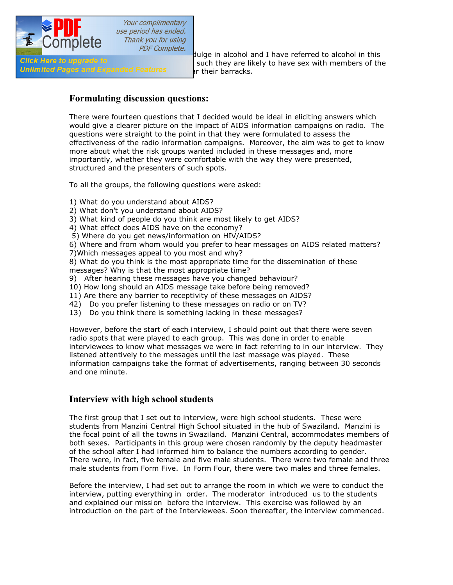

[Some members of this group do ind](http://www.pdfcomplete.com/cms/hppl/tabid/108/Default.aspx?r=q8b3uige22)ulge in alcohol and I have referred to alcohol in this Gick Here to upgrade to<br>Unlimited Pages and Expanded Features are their barracks or their barracks.

### **Formulating discussion questions:**

There were fourteen questions that I decided would be ideal in eliciting answers which would give a clearer picture on the impact of AIDS information campaigns on radio. The questions were straight to the point in that they were formulated to assess the effectiveness of the radio information campaigns. Moreover, the aim was to get to know more about what the risk groups wanted included in these messages and, more importantly, whether they were comfortable with the way they were presented, structured and the presenters of such spots.

To all the groups, the following questions were asked:

- 1) What do you understand about AIDS?
- 2) What don't you understand about AIDS?
- 3) What kind of people do you think are most likely to get AIDS?
- 4) What effect does AIDS have on the economy?
- 5) Where do you get news/information on HIV/AIDS?

6) Where and from whom would you prefer to hear messages on AIDS related matters?

7)Which messages appeal to you most and why?

8) What do you think is the most appropriate time for the dissemination of these messages? Why is that the most appropriate time?

- 9) After hearing these messages have you changed behaviour?
- 10) How long should an AIDS message take before being removed?
- 11) Are there any barrier to receptivity of these messages on AIDS?
- 42) Do you prefer listening to these messages on radio or on TV?
- 13) Do you think there is something lacking in these messages?

However, before the start of each interview, I should point out that there were seven radio spots that were played to each group. This was done in order to enable interviewees to know what messages we were in fact referring to in our interview. They listened attentively to the messages until the last massage was played. These information campaigns take the format of advertisements, ranging between 30 seconds and one minute.

### **Interview with high school students**

The first group that I set out to interview, were high school students. These were students from Manzini Central High School situated in the hub of Swaziland. Manzini is the focal point of all the towns in Swaziland. Manzini Central, accommodates members of both sexes. Participants in this group were chosen randomly by the deputy headmaster of the school after I had informed him to balance the numbers according to gender. There were, in fact, five female and five male students. There were two female and three male students from Form Five. In Form Four, there were two males and three females.

Before the interview, I had set out to arrange the room in which we were to conduct the interview, putting everything in order. The moderator introduced us to the students and explained our mission before the interview. This exercise was followed by an introduction on the part of the Interviewees. Soon thereafter, the interview commenced.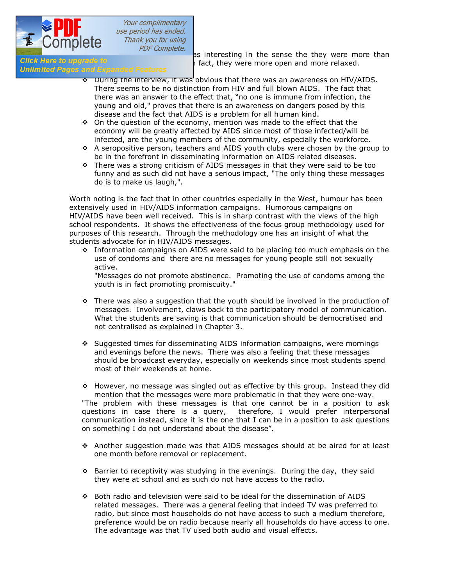

 $T$  is interesting in the sense the they were more than<br>Click Here to upgrade to sense they were more open and more relaxed. Girck Here to upgrade to articulate to articulate to and the in fact, they were more open and more relaxed.<br>Unlimited Pages and Expanded Features

- v During the interview, it was obvious that there was an awareness on HIV/AIDS. There seems to be no distinction from HIV and full blown AIDS. The fact that there was an answer to the effect that, "no one is immune from infection, the young and old," proves that there is an awareness on dangers posed by this disease and the fact that AIDS is a problem for all human kind.
- $\div$  On the question of the economy, mention was made to the effect that the economy will be greatly affected by AIDS since most of those infected/will be infected, are the young members of the community, especially the workforce.
- v A seropositive person, teachers and AIDS youth clubs were chosen by the group to be in the forefront in disseminating information on AIDS related diseases.
- $\cdot \cdot$  There was a strong criticism of AIDS messages in that they were said to be too funny and as such did not have a serious impact, "The only thing these messages do is to make us laugh,".

Worth noting is the fact that in other countries especially in the West, humour has been extensively used in HIV/AIDS information campaigns. Humorous campaigns on HIV/AIDS have been well received. This is in sharp contrast with the views of the high school respondents. It shows the effectiveness of the focus group methodology used for purposes of this research. Through the methodology one has an insight of what the students advocate for in HIV/AIDS messages.

 $\cdot$  Information campaigns on AIDS were said to be placing too much emphasis on the use of condoms andthere are no messages for young people still not sexually active.

"Messages do not promote abstinence. Promoting the use of condoms among the youth is in fact promoting promiscuity."

- $\cdot \cdot$  There was also a suggestion that the youth should be involved in the production of messages. Involvement, claws back to the participatory model of communication. What the students are saving is that communication should be democratised and not centralised as explained in Chapter 3.
- $\div$  Suggested times for disseminating AIDS information campaigns, were mornings and evenings before the news. There was also a feeling that these messages should be broadcast everyday, especially on weekends since most students spend most of their weekends at home.

 $\div$  However, no message was singled out as effective by this group. Instead they did mention that the messages were more problematic in that they were one-way. "The problem with these messages is that one cannot be in a position to ask questions in case there is a query, therefore, I would prefer interpersonal communication instead, since it is the one that I can be in a position to ask questions on something I do not understand about the disease".

- $\div$  Another suggestion made was that AIDS messages should at be aired for at least one month before removal or replacement.
- $\triangle$  Barrier to receptivity was studying in the evenings. During the day, they said they were at school and as such do not have access to the radio.
- v Both radio and television were said to be ideal for the dissemination of AIDS related messages. There was a general feeling that indeed TV was preferred to radio, but since most households do not have access to such a medium therefore, preference would be on radio because nearly all households do have access to one. The advantage was that TV used both audio and visual effects.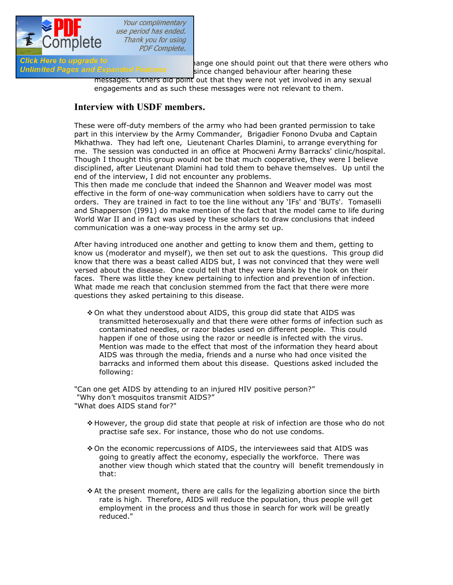

Your complimentary use period has ended. Thank you for using **PDF Complete.** 

Click Here to upgrade to<br>Unlimited Pages and Expanded Features since changed behaviour after bearing these since changed behaviour after hearing these

messages. Others did point out that they were not yet involved in any sexual engagements and as such these messages were not relevant to them.

### **Interview with USDF members.**

These were off-duty members of the army who had been granted permission to take part in this interview by the Army Commander, Brigadier Fonono Dvuba and Captain Mkhathwa. They had left one, Lieutenant Charles Dlamini, to arrange everything for me. The session was conducted in an office at Phocweni Army Barracks' clinic/hospital. Though I thought this group would not be that much cooperative, they were I believe disciplined, after Lieutenant Dlamini had told them to behave themselves. Up until the end of the interview, I did not encounter any problems.

This then made me conclude that indeed the Shannon and Weaver model was most effective in the form of one-way communication when soldiers have to carry out the orders. They are trained in fact to toe the line without any 'IFs' and 'BUTs'. Tomaselli and Shapperson (I991) do make mention of the fact that the model came to life during World War II and in fact was used by these scholars to draw conclusions that indeed communication was a one-way process in the army set up.

After having introduced one another and getting to know them and them, getting to know us (moderator and myself), we then set out to ask the questions. This group did know that there was a beast called AIDS but, I was not convinced that they were well versed about the disease. One could tell that they were blank by the look on their faces. There was little they knew pertaining to infection and prevention of infection. What made me reach that conclusion stemmed from the fact that there were more questions they asked pertaining to this disease.

◆ On what they understood about AIDS, this group did state that AIDS was transmitted heterosexually and that there were other forms of infection such as contaminated needles, or razor blades used on different people. This could happen if one of those using the razor or needle is infected with the virus. Mention was made to the effect that most of the information they heard about AIDS was through the media, friends and a nurse who had once visited the barracks and informed them about this disease. Questions asked included the following:

"Can one get AIDS by attending to an injured HIV positive person?" "Why don't mosquitos transmit AIDS?" "What does AIDS stand for?"

- $\clubsuit$  However, the group did state that people at risk of infection are those who do not practise safe sex. For instance, those who do not use condoms.
- v On the economic repercussions of AIDS, the interviewees said that AIDS was going to greatly affect the economy, especially the workforce. There was another view though which stated that the country will benefit tremendously in that:
- $\triangle$  At the present moment, there are calls for the legalizing abortion since the birth rate is high. Therefore, AIDS will reduce the population, thus people will get employment in the process and thus those in search for work will be greatly reduced."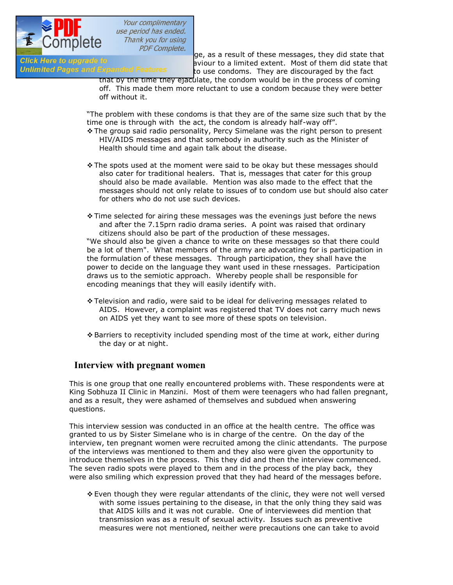

v COTTIPICTO  $PDF\text{ Complete.}$ <br>Glick Here to upgrade to exique a result of these messages, they did state that GIICK Here to upgrade to<br>**Unlimited Pages and Expanded Features** a condome they are discouraged by the fact to use condoms. They are discouraged by the fact

that by the time they ejaculate, the condom would be in the process of coming off. This made them more reluctant to use a condom because they were better off without it.

"The problem with these condoms is that they are of the same size such that by the time one is through with the act, the condom is already half-way off".

- \* The group said radio personality, Percy Simelane was the right person to present HIV/AIDS messages and that somebody in authority such as the Minister of Health should time and again talk about the disease.
- $\clubsuit$  The spots used at the moment were said to be okay but these messages should also cater for traditional healers. That is, messages that cater for this group should also be made available. Mention was also made to the effect that the messages should not only relate to issues of to condom use but should also cater for others who do not use such devices.
- $\div$  Time selected for airing these messages was the evenings just before the news and after the 7.15prn radio drama series. A point was raised that ordinary citizens should also be part of the production of these messages.

"We should also be given a chance to write on these messages so that there could be a lot of them". What members of the army are advocating for is participation in the formulation of these messages. Through participation, they shall have the power to decide on the language they want used in these rnessages. Participation draws us to the semiotic approach. Whereby people shall be responsible for encoding meanings that they will easily identify with.

- $\div$  Television and radio, were said to be ideal for delivering messages related to AIDS. However, a complaint was registered that TV does not carry much news on AIDS yet they want to see more of these spots on television.
- v Barriers to receptivity included spending most of the time at work, either during the day or at night.

### **Interview with pregnant women**

This is one group that one really encountered problems with. These respondents were at King Sobhuza II Clinic in Manzini. Most of them were teenagers who had fallen pregnant, and as a result, they were ashamed of themselves and subdued when answering questions.

This interview session was conducted in an office at the health centre. The office was granted to us by Sister Simelane who is in charge of the centre. On the day of the interview, ten pregnant women were recruited among the clinic attendants. The purpose of the interviews was mentioned to them and they also were given the opportunity to introduce themselves in the process. This they did and then the interview commenced. The seven radio spots were played to them and in the process of the play back, they were also smiling which expression proved that they had heard of the messages before.

 $\div$  Even though they were regular attendants of the clinic, they were not well versed with some issues pertaining to the disease, in that the only thing they said was that AIDS kills and it was not curable. One of interviewees did mention that transmission was as a result of sexual activity. Issues such as preventive measures were not mentioned, neither were precautions one can take to avoid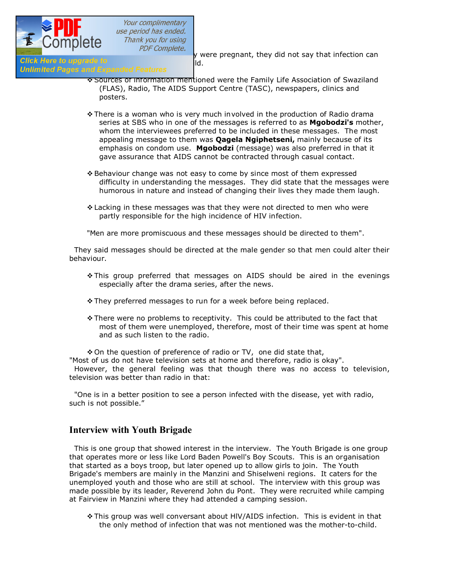

**inferrelly consider the UCTTIPICTC**<br>Click Here to upgrade to **Exercise** by were pregnant, they did not say that infection can

# Click Here to upgrade to<br>Unlimited Pages and Expanded Features [11] .

- \* Sources of information mentioned were the Family Life Association of Swaziland (FLAS), Radio, The AIDS Support Centre (TASC), newspapers, clinics and posters.
- \* There is a woman who is very much involved in the production of Radio drama series at SBS who in one of the messages is referred to as **Mgobodzi's** mother, whom the interviewees preferred to be included in these messages. The most appealing message to them was **Qagela Ngiphetseni,** mainly because of its emphasis on condom use. **Mgobodzi** (message) was also preferred in that it gave assurance that AIDS cannot be contracted through casual contact.
- v Behaviour change was not easy to come by since most of them expressed difficulty in understanding the messages. They did state that the messages were humorous in nature and instead of changing their lives they made them laugh.
- v Lacking in these messages was that they were not directed to men who were partly responsible for the high incidence of HIV infection.

"Men are more promiscuous and these messages should be directed to them".

They said messages should be directed at the male gender so that men could alter their behaviour.

- v This group preferred that messages on AIDS should be aired in the evenings especially after the drama series, after the news.
- \* They preferred messages to run for a week before being replaced.
- $\triangle$  There were no problems to receptivity. This could be attributed to the fact that most of them were unemployed, therefore, most of their time was spent at home and as such listen to the radio.

◆ On the question of preference of radio or TV, one did state that,

"Most of us do not have television sets at home and therefore, radio is okay".

However, the general feeling was that though there was no access to television, television was better than radio in that:

"One is in a better position to see a person infected with the disease, yet with radio, such is not possible."

### **Interview with Youth Brigade**

This is one group that showed interest in the interview. The Youth Brigade is one group that operates more or less like Lord Baden Powell's Boy Scouts. This is an organisation that started as a boys troop, but later opened up to allow girls to join. The Youth Brigade's members are mainly in the Manzini and Shiselweni regions. It caters for the unemployed youth and those who are still at school. The interview with this group was made possible by its leader, Reverend John du Pont. They were recruited while camping at Fairview in Manzini where they had attended a camping session.

v This group was well conversant about HlV/AIDS infection. This is evident in that the only method of infection that was not mentioned was the mother-to-child.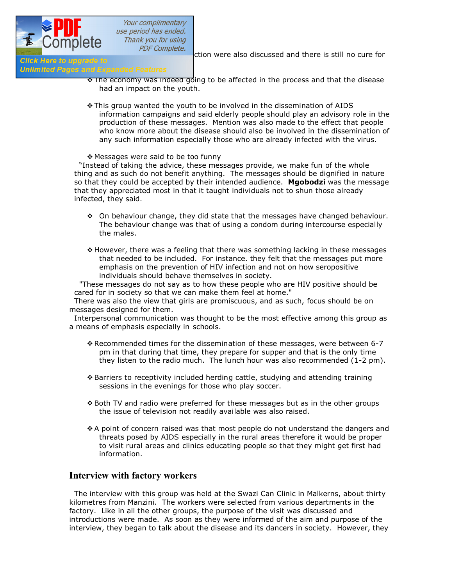

Methods of preventions of the prevention of the prevention were also discussed and there is still no cure for<br>Click Here to upgrade to

### **Unlimited Pages and Expanded Features**

- The economy was indeed going to be affected in the process and that the disease had an impact on the youth.
- \* This group wanted the youth to be involved in the dissemination of AIDS information campaigns and said elderly people should play an advisory role in the production of these messages. Mention was also made to the effect that people who know more about the disease should also be involved in the dissemination of any such information especially those who are already infected with the virus.

#### \* Messages were said to be too funny

"Instead of taking the advice, these messages provide, we make fun of the whole thing and as such do not benefit anything. The messages should be dignified in nature so that they could be accepted by their intended audience. **Mgobodzi** was the message that they appreciated most in that it taught individuals not to shun those already infected, they said.

- $\div$  On behaviour change, they did state that the messages have changed behaviour. The behaviour change was that of using a condom during intercourse especially the males.
- $\div$  However, there was a feeling that there was something lacking in these messages that needed to be included. For instance. they felt that the messages put more emphasis on the prevention of HIV infection and not on how seropositive individuals should behave themselves in society.

"These messages do not say as to how these people who are HIV positive should be cared for in society so that we can make them feel at home."

There was also the view that girls are promiscuous, and as such, focus should be on messages designed for them.

Interpersonal communication was thought to be the most effective among this group as a means of emphasis especially in schools.

- \* Recommended times for the dissemination of these messages, were between 6-7 pm in that during that time, they prepare for supper and that is the only time they listen to the radio much. The lunch hour was also recommended (1-2 pm).
- v Barriers to receptivity included herding cattle, studying and attending training sessions in the evenings for those who play soccer.
- \* Both TV and radio were preferred for these messages but as in the other groups the issue of television not readily available was also raised.
- $\triangle$  A point of concern raised was that most people do not understand the dangers and threats posed by AIDS especially in the rural areas therefore it would be proper to visit rural areas and clinics educating people so that they might get first had information.

### **Interview with factory workers**

The interview with this group was held at the Swazi Can Clinic in Malkerns, about thirty kilometres from Manzini. The workers were selected from various departments in the factory. Like in all the other groups, the purpose of the visit was discussed and introductions were made. As soon as they were informed of the aim and purpose of the interview, they began to talk about the disease and its dancers in society. However, they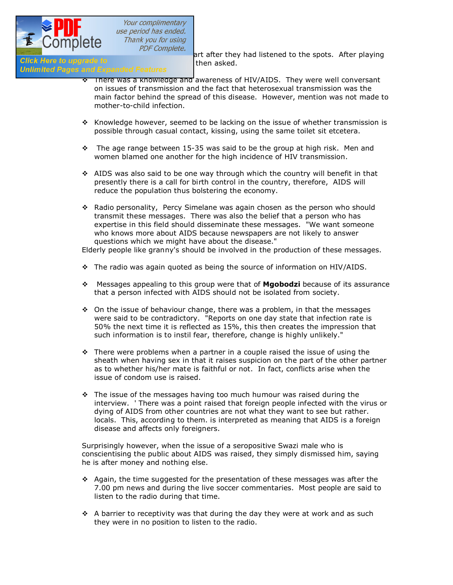

were to that the spots. After playing<br>Click Here to upgrade to the start after they had listened to the spots. After playing

# **CIICK Here to upgrade to spots formulations for the set of them**<br>**Unlimited Pages and Expanded Features**

- $\cdot$  There was a knowledge and awareness of HIV/AIDS. They were well conversant on issues of transmission and the fact that heterosexual transmission was the main factor behind the spread of this disease. However, mention was not made to mother-to-child infection.
- $\cdot$  Knowledge however, seemed to be lacking on the issue of whether transmission is possible through casual contact, kissing, using the same toilet sit etcetera.
- $\cdot \cdot$  The age range between 15-35 was said to be the group at high risk. Men and women blamed one another for the high incidence of HIV transmission.
- $\div$  AIDS was also said to be one way through which the country will benefit in that presently there is a call for birth control in the country, therefore, AIDS will reduce the population thus bolstering the economy.
- \* Radio personality, Percy Simelane was again chosen as the person who should transmit these messages. There was also the belief that a person who has expertise in this field should disseminate these messages. "We want someone who knows more about AIDS because newspapers are not likely to answer questions which we might have about the disease."

Elderly people like granny's should be involved in the production of these messages.

- $\cdot \cdot$  The radio was again quoted as being the source of information on HIV/AIDS.
- v Messages appealing to this group were that of **Mgobodzi** because of its assurance that a person infected with AIDS should not be isolated from society.
- $\div$  On the issue of behaviour change, there was a problem, in that the messages were said to be contradictory. "Reports on one day state that infection rate is 50% the next time it is reflected as 15%, this then creates the impression that such information is to instil fear, therefore, change is highly unlikely."
- $\cdot \cdot$  There were problems when a partner in a couple raised the issue of using the sheath when having sex in that it raises suspicion on the part of the other partner as to whether his/her mate is faithful or not. In fact, conflicts arise when the issue of condom use is raised.
- $\cdot \cdot$  The issue of the messages having too much humour was raised during the interview. ' There was a point raised that foreign people infected with the virus or dying of AIDS from other countries are not what they want to see but rather. locals. This, according to them. is interpreted as meaning that AIDS is a foreign disease and affects only foreigners.

Surprisingly however, when the issue of a seropositive Swazi male who is conscientising the public about AIDS was raised, they simply dismissed him, saying he is after money and nothing else.

- $\div$  Again, the time suggested for the presentation of these messages was after the 7.00 pm news and during the live soccer commentaries. Most people are said to listen to the radio during that time.
- $\div$  A barrier to receptivity was that during the day they were at work and as such they were in no position to listen to the radio.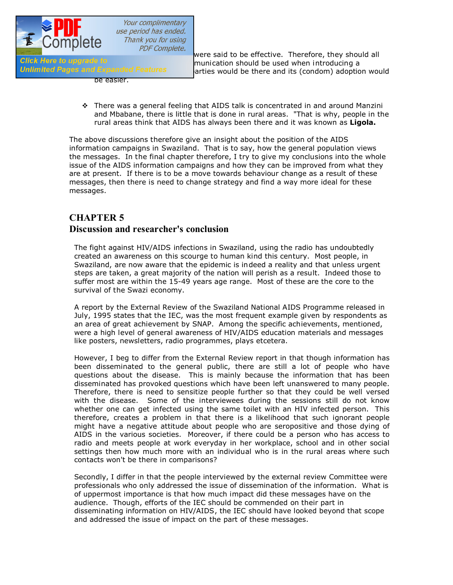

be easier.

**v** COTTIPICTC  $PDF Complete.$ <br>
were said to be effective. Therefore, they should all munication should be used when introducing a Girck Here to upgrade to early reader to the munication should be used when introducing a continuing a continuing a continuing a continuing a continuing a continuing a continuing a continuing a continuing would be there an arties would be there and its (condom) adoption would

> $\cdot$  There was a general feeling that AIDS talk is concentrated in and around Manzini and Mbabane, there is little that is done in rural areas. "That is why, people in the rural areas think that AIDS has always been there and it was known as **Ligola.**

The above discussions therefore give an insight about the position of the AIDS information campaigns in Swaziland. That is to say, how the general population views the messages. In the final chapter therefore, I try to give my conclusions into the whole issue of the AIDS information campaigns and how they can be improved from what they are at present. If there is to be a move towards behaviour change as a result of these messages, then there is need to change strategy and find a way more ideal for these messages.

# **CHAPTER 5 Discussion and researcher's conclusion**

The fight against HIV/AIDS infections in Swaziland, using the radio has undoubtedly created an awareness on this scourge to human kind this century. Most people, in Swaziland, are now aware that the epidemic is indeed a reality and that unless urgent steps are taken, a great majority of the nation will perish as a result. Indeed those to suffer most are within the 15-49 years age range. Most of these are the core to the survival of the Swazi economy.

A report by the External Review of the Swaziland National AIDS Programme released in July, 1995 states that the IEC, was the most frequent example given by respondents as an area of great achievement by SNAP. Among the specific achievements, mentioned, were a high level of general awareness of HIV/AIDS education materials and messages like posters, newsletters, radio programmes, plays etcetera.

However, I beg to differ from the External Review report in that though information has been disseminated to the general public, there are still a lot of people who have questions about the disease. This is mainly because the information that has been disseminated has provoked questions which have been left unanswered to many people. Therefore, there is need to sensitize people further so that they could be well versed with the disease. Some of the interviewees during the sessions still do not know whether one can get infected using the same toilet with an HIV infected person. This therefore, creates a problem in that there is a likelihood that such ignorant people might have a negative attitude about people who are seropositive and those dying of AIDS in the various societies. Moreover, if there could be a person who has access to radio and meets people at work everyday in her workplace, school and in other social settings then how much more with an individual who is in the rural areas where such contacts won't be there in comparisons?

Secondly, I differ in that the people interviewed by the external review Committee were professionals who only addressed the issue of dissemination of the information. What is of uppermost importance is that how much impact did these messages have on the audience. Though, efforts of the IEC should be commended on their part in disseminating information on HIV/AIDS, the IEC should have looked beyond that scope and addressed the issue of impact on the part of these messages.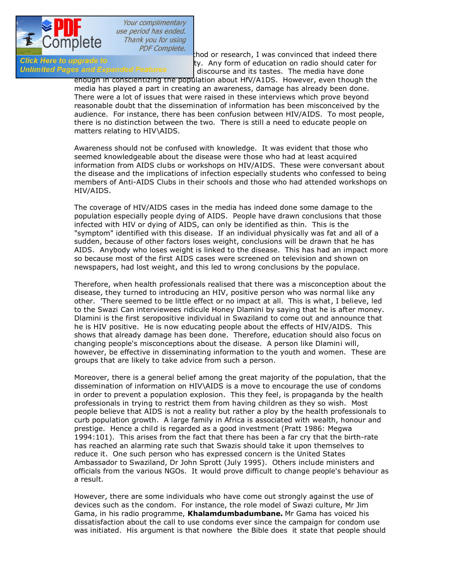

 $\frac{1}{\frac{1}{\sqrt{1-\frac{1}{\sqrt{1-\frac{1}{\sqrt{1-\frac{1}{\sqrt{1-\frac{1}{\sqrt{1-\frac{1}{\sqrt{1-\frac{1}{\sqrt{1-\frac{1}{\sqrt{1-\frac{1}{\sqrt{1-\frac{1}{\sqrt{1-\frac{1}{\sqrt{1-\frac{1}{\sqrt{1-\frac{1}{\sqrt{1-\frac{1}{\sqrt{1-\frac{1}{\sqrt{1-\frac{1}{\sqrt{1-\frac{1}{\sqrt{1-\frac{1}{\sqrt{1-\frac{1}{\sqrt{1-\frac{1}{\sqrt{1-\frac{1}{\sqrt{1-\frac{1}{\sqrt{1-\frac{1}{\sqrt{1-\frac{1}{\sqrt{$ Girck Here to upgrade to example and the setter for the society. Any form of education on radio should cater for<br>Unlimited Pages and Expanded Features and its tastes the media have done discourse and its tastes. The media have done

enough in conscientizing the population about HfV/A1DS. However, even though the media has played a part in creating an awareness, damage has already been done. There were a lot of issues that were raised in these interviews which prove beyond reasonable doubt that the dissemination of information has been misconceived by the audience. For instance, there has been confusion between HIV/AIDS. To most people, there is no distinction between the two. There is still a need to educate people on matters relating to HIV\AIDS.

Awareness should not be confused with knowledge. It was evident that those who seemed knowledgeable about the disease were those who had at least acquired information from AIDS clubs or workshops on HIV/AIDS. These were conversant about the disease and the implications of infection especially students who confessed to being members of Anti-AIDS Clubs in their schools and those who had attended workshops on HIV/AIDS.

The coverage of HIV/AIDS cases in the media has indeed done some damage to the population especially people dying of AIDS. People have drawn conclusions that those infected with HIV or dying of AIDS, can only be identified as thin. This is the "symptom" identified with this disease. If an individual physically was fat and all of a sudden, because of other factors loses weight, conclusions will be drawn that he has AIDS. Anybody who loses weight is linked to the disease. This has had an impact more so because most of the first AIDS cases were screened on television and shown on newspapers, had lost weight, and this led to wrong conclusions by the populace.

Therefore, when health professionals realised that there was a misconception about the disease, they turned to introducing an HIV, positive person who was normal like any other. 'There seemed to be little effect or no impact at all. This is what, I believe, led to the Swazi Can interviewees ridicule Honey Dlamini by saying that he is after money. Dlamini is the first seropositive individual in Swaziland to come out and announce that he is HIV positive. He is now educating people about the effects of HIV/AIDS. This shows that already damage has been done. Therefore, education should also focus on changing people's misconceptions about the disease. A person like Dlamini will, however, be effective in disseminating information to the youth and women. These are groups that are likely to take advice from such a person.

Moreover, there is a general belief among the great majority of the population, that the dissemination of information on HIV\AIDS is a move to encourage the use of condoms in order to prevent a population explosion. This they feel, is propaganda by the health professionals in trying to restrict them from having children as they so wish. Most people believe that AIDS is not a reality but rather a ploy by the health professionals to curb population growth. A large family in Africa is associated with wealth, honour and prestige. Hence a child is regarded as a good investment (Pratt 1986: Megwa 1994:101). This arises from the fact that there has been a far cry that the birth-rate has reached an alarming rate such that Swazis should take it upon themselves to reduce it. One such person who has expressed concern is the United States Ambassador to Swaziland, Dr John Sprott (July 1995). Others include ministers and officials from the various NGOs. It would prove difficult to change people's behaviour as a result.

However, there are some individuals who have come out strongly against the use of devices such as the condom. For instance, the role model of Swazi culture, Mr Jim Gama, in his radio programme, **Khalamdumbadumbane.** Mr Gama has voiced his dissatisfaction about the call to use condoms ever since the campaign for condom use was initiated. His argument is that nowhere the Bible does it state that people should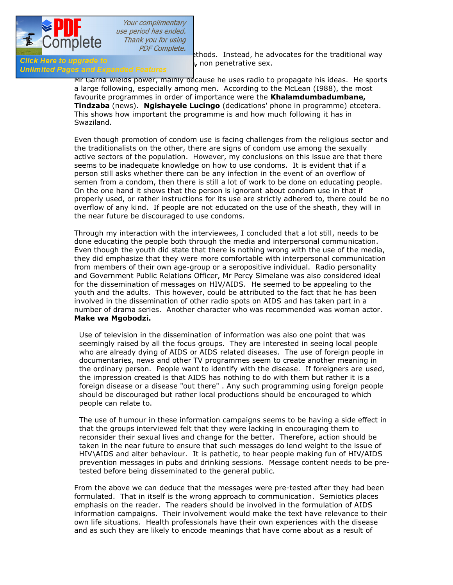

**CIICK Here to upgrade to knowled Features**<br>**Unlimited Pages and Expanded Features** 

**Make UCTTTPTCTC**<br>ethods. Instead, he advocates for the traditional way<br>click Here to upgrade to

Mr Garna wields power, mainly because he uses radio to propagate his ideas. He sports a large following, especially among men. According to the McLean (I988), the most favourite programmes in order of importance were the **Khalamdumbadumbane, Tindzaba** (news). **Ngishayele Lucingo** (dedications' phone in programme) etcetera. This shows how important the programme is and how much following it has in Swaziland.

Even though promotion of condom use is facing challenges from the religious sector and the traditionalists on the other, there are signs of condom use among the sexually active sectors of the population. However, my conclusions on this issue are that there seems to be inadequate knowledge on how to use condoms. It is evident that if a person still asks whether there can be any infection in the event of an overflow of semen from a condom, then there is still a lot of work to be done on educating people. On the one hand it shows that the person is ignorant about condom use in that if properly used, or rather instructions for its use are strictly adhered to, there could be no overflow of any kind. If people are not educated on the use of the sheath, they will in the near future be discouraged to use condoms.

Through my interaction with the interviewees, I concluded that a lot still, needs to be done educating the people both through the media and interpersonal communication. Even though the youth did state that there is nothing wrong with the use of the media, they did emphasize that they were more comfortable with interpersonal communication from members of their own age-group or a seropositive individual. Radio personality and Government Public Relations Officer, Mr Percy Simelane was also considered ideal for the dissemination of messages on HIV/AIDS. He seemed to be appealing to the youth and the adults. This however, could be attributed to the fact that he has been involved in the dissemination of other radio spots on AIDS and has taken part in a number of drama series. Another character who was recommended was woman actor. **Make wa Mgobodzi.**

Use of television in the dissemination of information was also one point that was seemingly raised by all the focus groups. They are interested in seeing local people who are already dying of AIDS or AIDS related diseases. The use of foreign people in documentaries, news and other TV programmes seem to create another meaning in the ordinary person. People want to identify with the disease. If foreigners are used, the impression created is that AIDS has nothing to do with them but rather it is a foreign disease or a disease "out there" . Any such programming using foreign people should be discouraged but rather local productions should be encouraged to which people can relate to.

The use of humour in these information campaigns seems to be having a side effect in that the groups interviewed felt that they were lacking in encouraging them to reconsider their sexual lives and change for the better. Therefore, action should be taken in the near future to ensure that such messages do lend weight to the issue of HIV\AIDS and alter behaviour. It is pathetic, to hear people making fun of HIV/AIDS prevention messages in pubs and drinking sessions. Message content needs to be pretested before being disseminated to the general public.

From the above we can deduce that the messages were pre-tested after they had been formulated. That in itself is the wrong approach to communication. Semiotics places emphasis on the reader. The readers should be involved in the formulation of AIDS information campaigns. Their involvement would make the text have relevance to their own life situations. Health professionals have their own experiences with the disease and as such they are likely to encode meanings that have come about as a result of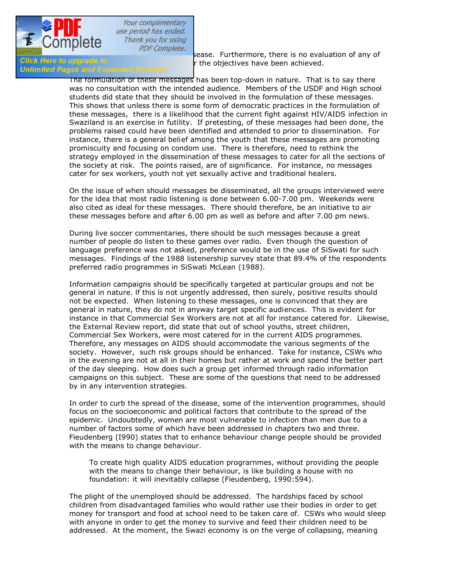

**CIICK Here to upgrade to verify the objectives have been achieved.**<br>Unlimited Pages and Expanded Features

 $t$  over the discussion of any of<br>Sease. Furthermore, there is no evaluation of any of<br>r the objectives have been achieved.

The formulation of these messages has been top-down in nature. That is to say there was no consultation with the intended audience. Members of the USDF and High school students did state that they should be involved in the formulation of these messages. This shows that unless there is some form of democratic practices in the formulation of these messages, there is a likelihood that the current fight against HIV/AIDS infection in Swaziland is an exercise in futility. If pretesting, of these messages had been done, the problems raised could have been identified and attended to prior to dissernination. For instance, there is a general belief among the youth that these messages are promoting promiscuity and focusing on condom use. There is therefore, need to rethink the strategy employed in the dissemination of these messages to cater for all the sections of the society at risk. The points raised, are of significance. For instance, no messages cater for sex workers, youth not yet sexually active and traditional healers.

On the issue of when should messages be disseminated, all the groups interviewed were for the idea that most radio listening is done between 6.00-7.00 pm. Weekends were also cited as ideal for these messages. There should therefore, be an initiative to air these messages before and after 6.00 pm as well as before and after 7.00 pm news.

During live soccer commentaries, there should be such messages because a great number of people do listen to these games over radio. Even though the question of language preference was not asked, preference would be in the use of SiSwati for such messages. Findings of the 1988 listenership survey state that 89.4% of the respondents preferred radio programmes in SiSwati McLean (1988).

Information campaigns should be specifically targeted at particular groups and not be general in nature. lf this is not urgently addressed, then surely, positive results should not be expected. When listening to these messages, one is convinced that they are general in nature, they do not in anyway target specific audiences. This is evident for instance in that Commercial Sex Workers are not at all for instance catered for. Likewise, the External Review report, did state that out of school youths, street children, Commercial Sex Workers, were most catered for in the current AIDS programmes. Therefore, any messages on AIDS should accommodate the various segments of the society. However, such risk groups should be enhanced. Take for instance, CSWs who in the evening are not at all in their homes but rather at work and spend the better part of the day sleeping. How does such a group get informed through radio information campaigns on this subject. These are some of the questions that need to be addressed by in any intervention strategies.

In order to curb the spread of the disease, some of the intervention programmes, should focus on the socioeconomic and political factors that contribute to the spread of the epidemic. Undoubtedly, women are most vulnerable to infection than men due to a number of factors some of which have been addressed in chapters two and three. Fieudenberg (I990) states that to enhance behaviour change people should be provided with the means to change behaviour.

To create high quality AIDS education prograrnmes, without providing the people with the means to change their behaviour, is like building a house with no foundation: it will inevitably collapse (Fieudenberg, 1990:594).

The plight of the unemployed should be addressed. The hardships faced by school children from disadvantaged families who would rather use their bodies in order to get money for transport and food at school need to be taken care of. CSWs who would sleep with anyone in order to get the money to survive and feed their children need to be addressed. At the moment, the Swazi economy is on the verge of collapsing, meaning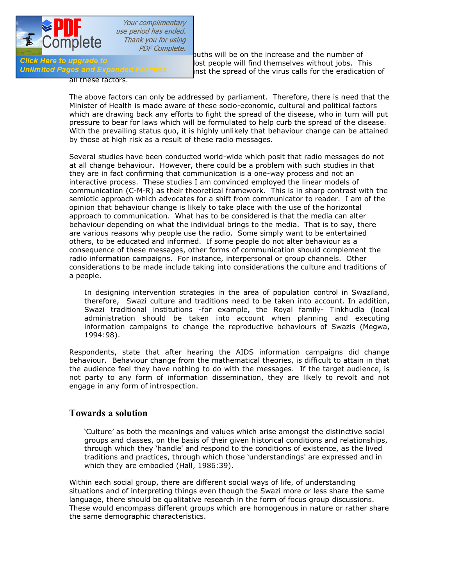

**Example that the number of**<br>Click Here to upgrade to out-of-school youths will be on the increase and the number of<br>lost neonle will find themselves without iobs. The Girck Here to upgrade to a result of the section of the will find themselves without jobs. This called the winter of the state of the virus called for the eradication inst the spread of the virus calls for the eradication of

all these factors.

The above factors can only be addressed by parliament. Therefore, there is need that the Minister of Health is made aware of these socio-economic, cultural and political factors which are drawing back any efforts to fight the spread of the disease, who in turn will put pressure to bear for laws which will be formulated to help curb the spread of the disease. With the prevailing status quo, it is highly unlikely that behaviour change can be attained by those at high risk as a result of these radio messages.

Several studies have been conducted world-wide which posit that radio messages do not at all change behaviour. However, there could be a problem with such studies in that they are in fact confirming that communication is a one-way process and not an interactive process. These studies I am convinced employed the linear models of communication (C-M-R) as their theoretical framework. This is in sharp contrast with the semiotic approach which advocates for a shift from communicator to reader. I am of the opinion that behaviour change is likely to take place with the use of the horizontal approach to communication. What has to be considered is that the media can alter behaviour depending on what the individual brings to the media. That is to say, there are various reasons why people use the radio. Some simply want to be entertained others, to be educated and informed. If some people do not alter behaviour as a consequence of these messages, other forms of communication should complement the radio information campaigns. For instance, interpersonal or group channels. Other considerations to be made include taking into considerations the culture and traditions of a people.

In designing intervention strategies in the area of population control in Swaziland, therefore, Swazi culture and traditions need to be taken into account. In addition, Swazi traditional institutions -for example, the Royal family- Tinkhudla (local administration should be taken into account when planning and executing information campaigns to change the reproductive behaviours of Swazis (Megwa, 1994:98).

Respondents, state that after hearing the AIDS information campaigns did change behaviour. Behaviour change from the mathematical theories, is difficult to attain in that the audience feel they have nothing to do with the messages. If the target audience, is not party to any form of information dissemination, they are likely to revolt and not engage in any form of introspection.

### **Towards a solution**

'Culture' as both the meanings and values which arise amongst the distinctive social groups and classes, on the basis of their given historical conditions and relationships, through which they 'handle' and respond to the conditions of existence, as the lived traditions and practices, through which those 'understandings' are expressed and in which they are embodied (Hall, 1986:39).

Within each social group, there are different social ways of life, of understanding situations and of interpreting things even though the Swazi more or less share the same language, there should be qualitative research in the form of focus group discussions. These would encompass different groups which are homogenous in nature or rather share the same demographic characteristics.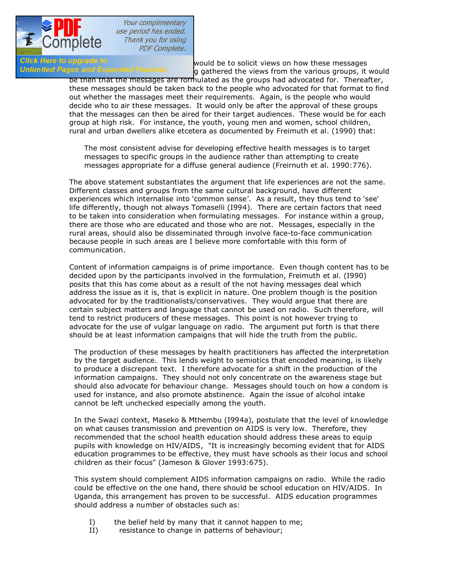

Your complimentary use period has ended. Thank you for using **PDF Complete.** 

Click Here to upgrade to<br>
Unlimited Pages and Expanded Features<br>  $\frac{1}{2}$  contract the views from the various groups it g gathered the views from the various groups, it would

be then that the messages are formulated as the groups had advocated for. Thereafter, these messages should be taken back to the people who advocated for that format to find out whether the massages meet their requirements. Again, is the people who would decide who to air these messages. It would only be after the approval of these groups that the messages can then be aired for their target audiences. These would be for each group at high risk. For instance, the youth, young men and women, school children, rural and urban dwellers alike etcetera as documented by Freimuth et al. (1990) that:

The most consistent advise for developing effective health messages is to target messages to specific groups in the audience rather than attempting to create messages appropriate for a diffuse general audience (Freirnuth et al. 1990:776).

The above statement substantiates the argument that life experiences are not the same. Different classes and groups from the same cultural background, have different experiences which internalise into 'common sense'. As a result, they thus tend to 'see' life differently, though not always Tomaselli (I994). There are certain factors that need to be taken into consideration when formulating messages. For instance within a group, there are those who are educated and those who are not. Messages, especially in the rural areas, should also be disseminated through involve face-to-face communication because people in such areas are I believe more comfortable with this form of communication.

Content of information campaigns is of prime importance. Even though content has to be decided upon by the participants involved in the formulation, Freimuth et al. (I990) posits that this has come about as a result of the not having messages deal which address the issue as it is, that is explicit in nature. One problem though is the position advocated for by the traditionalists/conservatives. They would argue that there are certain subject matters and language that cannot be used on radio. Such therefore, will tend to restrict producers of these messages. This point is not however trying to advocate for the use of vulgar language on radio. The argument put forth is that there should be at least information campaigns that will hide the truth from the public.

The production of these messages by health practitioners has affected the interpretation by the target audience. This lends weight to semiotics that encoded meaning, is likely to produce a discrepant text. I therefore advocate for a shift in the production of the information campaigns. They should not only concentrate on the awareness stage but should also advocate for behaviour change. Messages should touch on how a condom is used for instance, and also promote abstinence. Again the issue of alcohol intake cannot be left unchecked especially among the youth.

In the Swazi context, Maseko & Mthembu (I994a), postulate that the level of knowledge on what causes transmission and prevention on AIDS is very low. Therefore, they recommended that the school health education should address these areas to equip pupils with knowledge on HIV/AIDS, "It is increasingly becoming evident that for AIDS education programmes to be effective, they must have schools as their locus and school children as their focus" (Jameson & Glover 1993:675).

This system should complement AIDS information campaigns on radio. While the radio could be effective on the one hand, there should be school education on HIV/AIDS. In Uganda, this arrangement has proven to be successful. AIDS education programmes should address a number of obstacles such as:

- I) the belief held by many that it cannot happen to me;
- II) resistance to change in patterns of behaviour;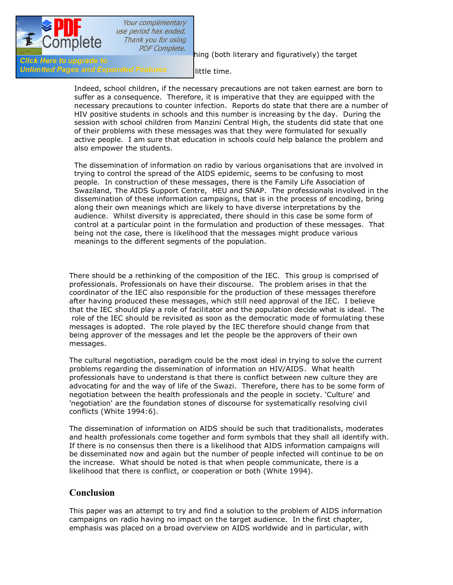

[III\) the difficulties of reach](http://www.pdfcomplete.com/cms/hppl/tabid/108/Default.aspx?r=q8b3uige22)ing (both literary and figuratively) the target

Id Expanded Features little time.

Indeed, school children, if the necessary precautions are not taken earnest are born to suffer as a consequence. Therefore, it is imperative that they are equipped with the necessary precautions to counter infection. Reports do state that there are a number of HIV positive students in schools and this number is increasing by the day. During the session with school children from Manzini Central High, the students did state that one of their problems with these messages was that they were formulated for sexually active people. I am sure that education in schools could help balance the problem and also empower the students.

The dissemination of information on radio by various organisations that are involved in trying to control the spread of the AIDS epidemic, seems to be confusing to most people. In construction of these messages, there is the Family Life Association of Swaziland, The AIDS Support Centre, HEU and SNAP. The professionals involved in the dissemination of these information campaigns, that is in the process of encoding, bring along their own meanings which are likely to have diverse interpretations by the audience. Whilst diversity is appreciated, there should in this case be some form of control at a particular point in the formulation and production of these messages. That being not the case, there is likelihood that the messages might produce various meanings to the different segments of the population.

There should be a rethinking of the composition of the IEC. This group is comprised of professionals. Professionals on have their discourse. The problem arises in that the coordinator of the IEC also responsible for the production of these messages therefore after having produced these messages, which still need approval of the IEC. I believe that the IEC should play a role of facilitator and the population decide what is ideal. The role of the IEC should be revisited as soon as the democratic mode of formulating these messages is adopted. The role played by the IEC therefore should change from that being approver of the messages and let the people be the approvers of their own messages.

The cultural negotiation, paradigm could be the most ideal in trying to solve the current problems regarding the dissemination of information on HIV/AIDS. What health professionals have to understand is that there is conflict between new culture they are advocating for and the way of life of the Swazi. Therefore, there has to be some form of negotiation between the health professionals and the people in society. 'Culture' and 'negotiation' are the foundation stones of discourse for systematically resolving civil conflicts (White 1994:6).

The dissemination of information on AIDS should be such that traditionalists, moderates and health professionals come together and form symbols that they shall all identify with. If there is no consensus then there is a likelihood that AIDS information campaigns will be disseminated now and again but the number of people infected will continue to be on the increase. What should be noted is that when people communicate, there is a likelihood that there is conflict, or cooperation or both (White 1994).

### **Conclusion**

This paper was an attempt to try and find a solution to the problem of AIDS information campaigns on radio having no impact on the target audience. In the first chapter, emphasis was placed on a broad overview on AIDS worldwide and in particular, with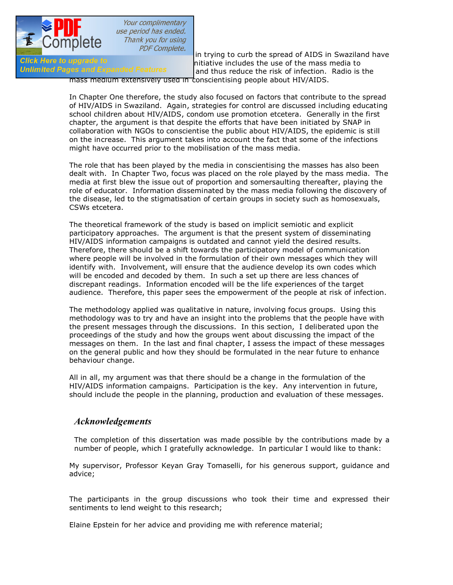

**reference to Symphono Complete.**<br>In trying to curb the spread of AIDS in Swaziland have<br>Initiative includes the use of the mass media to Girck Here to upgrade to<br>**Unlimited Pages and Expanded Features** and thus reduce the risk of infection. Radio is and thus reduce the risk of infection. Radio is the

mass medium extensively used in conscientising people about HIV/AIDS.

In Chapter One therefore, the study also focused on factors that contribute to the spread of HIV/AIDS in Swaziland. Again, strategies for control are discussed including educating school children about HIV/AIDS, condom use promotion etcetera. Generally in the first chapter, the argument is that despite the efforts that have been initiated by SNAP in collaboration with NGOs to conscientise the public about HIV/AIDS, the epidemic is still on the increase. This argument takes into account the fact that some of the infections might have occurred prior to the mobilisation of the mass media.

The role that has been played by the media in conscientising the masses has also been dealt with. In Chapter Two, focus was placed on the role played by the mass media. The media at first blew the issue out of proportion and somersaulting thereafter, playing the role of educator. Information disseminated by the mass media following the discovery of the disease, led to the stigmatisation of certain groups in society such as homosexuals, CSWs etcetera.

The theoretical framework of the study is based on implicit semiotic and explicit participatory approaches. The argument is that the present system of disseminating HIV/AIDS information campaigns is outdated and cannot yield the desired results. Therefore, there should be a shift towards the participatory model of communication where people will be involved in the formulation of their own messages which they will identify with. Involvement, will ensure that the audience develop its own codes which will be encoded and decoded by them. In such a set up there are less chances of discrepant readings. Information encoded will be the life experiences of the target audience. Therefore, this paper sees the empowerment of the people at risk of infection.

The methodology applied was qualitative in nature, involving focus groups. Using this methodology was to try and have an insight into the problems that the people have with the present messages through the discussions. In this section, I deliberated upon the proceedings of the study and how the groups went about discussing the impact of the messages on them. In the last and final chapter, I assess the impact of these messages on the general public and how they should be formulated in the near future to enhance behaviour change.

All in all, my argument was that there should be a change in the formulation of the HIV/AIDS information campaigns. Participation is the key. Any intervention in future, should include the people in the planning, production and evaluation of these messages.

### *Acknowledgements*

The completion of this dissertation was made possible by the contributions made by a number of people, which I gratefully acknowledge. In particular I would like to thank:

My supervisor, Professor Keyan Gray Tomaselli, for his generous support, guidance and advice;

The participants in the group discussions who took their time and expressed their sentiments to lend weight to this research;

Elaine Epstein for her advice and providing me with reference material;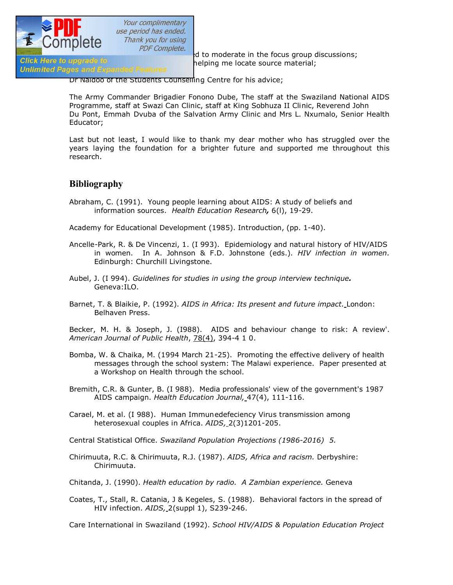

 $\frac{1}{\sqrt{1+\frac{1}{n}}}\sqrt{1+\frac{1}{n}}$  of to moderate in the focus group discussions;<br>Click Here to upgrade to moderate to the locate source material: helping me locate source material;

### Unlimited Pages and Expanded Features

Dr Naidoo of the Students Counselling Centre for his advice;

The Army Commander Brigadier Fonono Dube, The staff at the Swaziland National AIDS Programme, staff at Swazi Can Clinic, staff at King Sobhuza II Clinic, Reverend John Du Pont, Emmah Dvuba of the Salvation Army Clinic and Mrs L. Nxumalo, Senior Health Educator;

Last but not least, I would like to thank my dear mother who has struggled over the years laying the foundation for a brighter future and supported me throughout this research.

## **Bibliography**

Abraham, C. (1991). Young people learning about AIDS: A study of beliefs and information sources. *Health Education Research,* 6(l), 19-29.

Academy for Educational Development (1985). Introduction, (pp. 1-40).

- Ancelle-Park, R. & De Vincenzi, 1. (I 993). Epidemiology and natural history of HIV/AIDS in women. In A. Johnson & F.D. Johnstone (eds.). *HIV infection in women.* Edinburgh: Churchill Livingstone.
- Aubel, J. (I 994). *Guidelines for studies in using the group interview technique.* Geneva:ILO.
- Barnet, T. & Blaikie, P. (1992). *AIDS in Africa: Its present and future impact.* London: Belhaven Press.

Becker, M. H. & Joseph, J. (I988). AIDS and behaviour change to risk: A review'. *American Journal of Public Health*, 78(4), 394-4 1 0.

- Bomba, W. & Chaika, M. (1994 March 21-25). Promoting the effective delivery of health messages through the school system: The Malawi experience. Paper presented at a Workshop on Health through the school.
- Bremith, C.R. & Gunter, B. (I 988). Media professionals' view of the government's 1987 AIDS campaign. *Health Education Journal,* 47(4), 111-116.
- Carael, M. et al. (I 988). Human Immunedefeciency Virus transmission among heterosexual couples in Africa. *AIDS,* 2(3)1201-205.

Central Statistical Office. *Swaziland Population Projections (1986-2016) 5.*

- Chirimuuta, R.C. & Chirimuuta, R.J. (1987). *AIDS, Africa and racism.* Derbyshire: Chirimuuta.
- Chitanda, J. (1990). *Health education by radio. A Zambian experience.* Geneva
- Coates, T., Stall, R. Catania, J & Kegeles, S. (1988). Behavioral factors in the spread of HIV infection. *AIDS,* 2(suppl 1), S239-246.

Care International in Swaziland (1992). *School HIV/AIDS & Population Education Project*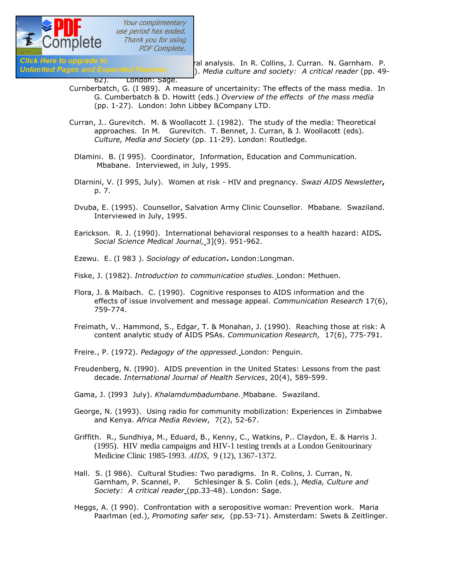

Your complimentary use period has ended. Thank you for using **PDF Complete.** 

Click Here to upgrade to<br>Unlimited Pages and Expanded Features and stational analysis. In R. Collins, J. Curran. N. Garnham. P. ). Media culture and society: A critical reader (pp. 49-

#### 62). London: Sage.

- Curnberbatch, G. (I 989). A measure of uncertainity: The effects of the mass media. In G. Cumberbatch & D. Howitt (eds.) *Overview of the effects of the mass media* (pp. 1-27). London: John Libbey &Company LTD.
- Curran, J.. Gurevitch. M. & Woollacott J. (1982). The study of the media: Theoretical approaches. In M. Gurevitch. T. Bennet, J. Curran, & J. Woollacott (eds). *Culture, Media and Society* (pp. 11-29). London: Routledge.
- Dlamini. B. (I 995). Coordinator, Information, Education and Communication. Mbabane. Interviewed, in July, 1995.
- Dlarnini, V. (I 995, July). Women at risk HIV and pregnancy. *Swazi AIDS Newsletter***,** p. 7.
- Dvuba, E. (1995). Counsellor, Salvation Army Clinic Counsellor. Mbabane. Swaziland. Interviewed in July, 1995.
- Earickson. R. J. (1990). International behavioral responses to a health hazard: AIDS*. Social Science Medical Journal,* 3](9). 951-962.
- Ezewu. E. (I 983 ). *Sociology of education***.** London:Longman.
- Fiske, J. (1982). *Introduction to communication studies.* London: Methuen.
- Flora, J. & Maibach. C. (1990). Cognitive responses to AIDS information and the effects of issue involvement and message appeal. *Communication Research* 17(6), 759-774.
- Freimath, V.. Hammond, S., Edgar, T. & Monahan, J. (1990). Reaching those at risk: A content analytic study of AIDS PSAs. *Communication Research,* 17(6), 775-791.
- Freire., P. (1972). *Pedagogy of the oppressed.* London: Penguin.
- Freudenberg, N. (I990). AIDS prevention in the United States: Lessons from the past decade. *International Journal of Health Services*, 20(4), 589-599.
- Gama, J. (I993 July). *Khalamdumbadumbane.* Mbabane. Swaziland.
- George, N. (1993). Using radio for community mobilization: Experiences in Zimbabwe and Kenya. *Africa Media Review*, 7(2), 52-67.
- Griffith. R., Sundhiya, M., Eduard, B., Kenny, C., Watkins, P.. Claydon, E. & Harris J. (1995). HIV media campaigns and HIV-1 testing trends at a London Genitourinary Medicine Clinic 1985-1993. *AIDS*, 9 (12), 1367-1372.
- Hall. S. (I 986). Cultural Studies: Two paradigms. In R. Colins, J. Curran, N. Garnham, P. Scannel, P. Schlesinger & S. Colin (eds.), *Media, Culture and Society: A critical reader* (pp.33-48). London: Sage.
- Heggs, A. (I 990). Confrontation with a seropositive woman: Prevention work. Maria Paarlman (ed.), *Promoting safer sex,* (pp.53-71). Amsterdam: Swets & Zeitlinger.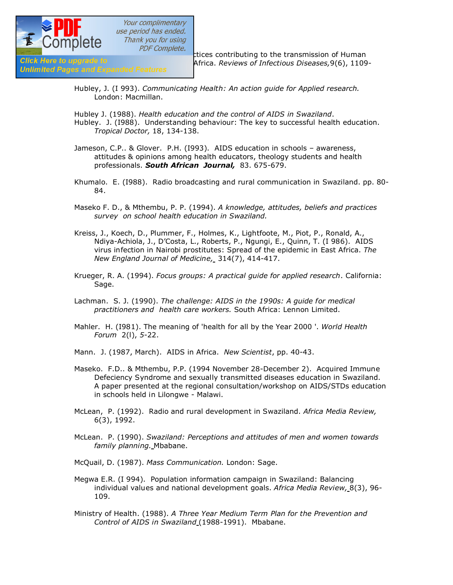

 $\frac{1}{\text{PDF} \text{Complete}}$ <br>Click Hare to upgrade to the transmission of Human<br>Africa, Reviews of Infectious Diseases 9(6), 1109 Africa. Reviews of Infectious Diseases,9(6), 1109-

**Unlimited Pages and Expanded Features** 

- Hubley, J. (I 993). *Communicating Health: An action guide for Applied research.* London: Macmillan.
- Hubley J. (1988). *Health education and the control of AIDS in Swaziland*. Hubley. J. (I988). Understanding behaviour: The key to successful health education. *Tropical Doctor,* 18, 134-138.
- Jameson, C.P.. & Glover. P.H. (I993). AIDS education in schools awareness, attitudes & opinions among health educators, theology students and health professionals. *South African Journal,* 83. 675-679.
- Khumalo. E. (I988). Radio broadcasting and rural communication in Swaziland. pp. 80- 84.
- Maseko F. D., & Mthembu, P. P. (1994). *A knowledge, attitudes, beliefs and practices survey on school health education in Swaziland.*
- Kreiss, J., Koech, D., Plummer, F., Holmes, K., Lightfoote, M., Piot, P., Ronald, A., Ndiya-Achiola, J., D'Costa, L., Roberts, P., Ngungi, E., Quinn, T. (I 986). AIDS virus infection in Nairobi prostitutes: Spread of the epidemic in East Africa. *The New England Journal of Medicine,* 314(7), 414-417.
- Krueger, R. A. (1994). *Focus groups: A practical guide for applied research*. California: Sage.
- Lachman. S. J. (1990). *The challenge: AIDS in the 1990s: A guide for medical practitioners and health care workers.* South Africa: Lennon Limited.
- Mahler. H. (I981). The meaning of 'health for all by the Year 2000 '. *World Health Forum* 2(l), *5*-22.
- Mann. J. (1987, March). AIDS in Africa. *New Scientist*, pp. 40-43.
- Maseko. F.D.. & Mthembu, P.P. (1994 November 28-December 2). Acquired Immune Defeciency Syndrome and sexually transmitted diseases education in Swaziland. A paper presented at the regional consultation/workshop on AIDS/STDs education in schools held in Lilongwe - Malawi.
- McLean, P. (1992). Radio and rural development in Swaziland. *Africa Media Review,*  6(3), 1992.
- McLean. P. (1990). *Swaziland: Perceptions and attitudes of men and women towards family planning.* Mbabane.
- McQuail, D. (1987). *Mass Communication.* London: Sage.
- Megwa E.R. (I 994). Population information campaign in Swaziland: Balancing individual values and national development goals. *Africa Media Review,* 8(3), 96- 109.
- Ministry of Health. (1988). *A Three Year Medium Term Plan for the Prevention and Control of AIDS in Swaziland* (1988-1991). Mbabane.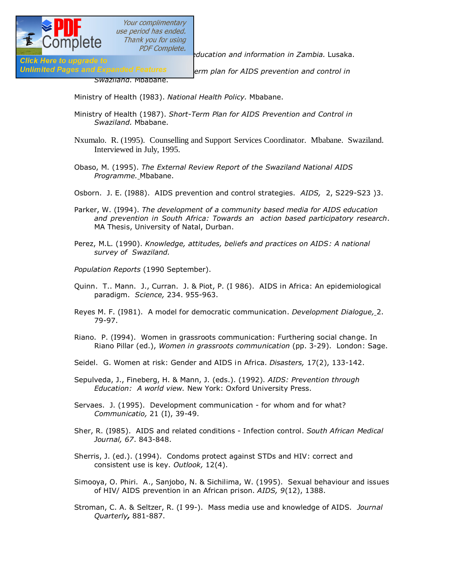

**Ministry of Health (1988).** *PDF Complete. Alucation and information in Zambia.* Lusaka. **Click Here to upgrade to** 

Unlimited Pages and Expanded Features **Follow Firm plan for AIDS prevention and control in** 

*Swaziland.* Mbabane.

Ministry of Health (I983). *National Health Policy.* Mbabane.

- Ministry of Health (1987). *Short-Term Plan for AIDS Prevention and Control in Swaziland.* Mbabane.
- Nxumalo. R. (1995). Counselling and Support Services Coordinator. Mbabane. Swaziland. Interviewed in July, 1995.
- Obaso, M. (1995). *The External Review Report of the Swaziland National AIDS Programme.* Mbabane.
- Osborn. J. E. (I988). AIDS prevention and control strategies. *AIDS,* 2, S229-S23 )3.
- Parker, W. (I994). *The development of a community based media for AIDS education and prevention in South Africa: Towards an action based participatory research*. MA Thesis, University of Natal, Durban.
- Perez, M.L. (1990). *Knowledge, attitudes, beliefs and practices on AIDS: A national survey of Swaziland.*
- *Population Reports* (1990 September).
- Quinn. T.. Mann. J., Curran. J. & Piot, P. (I 986). AIDS in Africa: An epidemiological paradigm. *Science,* 234. 955-963.
- Reyes M. F. (I981). A model for democratic communication. *Development Dialogue,* 2. 79-97.
- Riano. P. (I994). Women in grassroots communication: Furthering social change. In Riano Pillar (ed.), *Women in grassroots communication* (pp. 3-29). London: Sage.
- Seidel. G. Women at risk: Gender and AIDS in Africa. *Disasters,* 17(2), 133-142.
- Sepulveda, J., Fineberg, H. & Mann, J. (eds.). (1992). *AIDS: Prevention through Education: A world view.* New York: Oxford University Press.
- Servaes. J. (1995). Development communication for whom and for what? *Communicatio,* 21 (I), 39-49.
- Sher, R. (I985). AIDS and related conditions Infection control. *South African Medical Journal, 67*. 843-848.
- Sherris, J. (ed.). (1994). Condoms protect against STDs and HIV: correct and consistent use is key. *Outlook,* 12(4).
- Simooya, O. Phiri. A., Sanjobo, N. & Sichilima, W. (1995). Sexual behaviour and issues of HIV/ AIDS prevention in an African prison. *AIDS, 9*(12), 1388.
- Stroman, C. A. & Seltzer, R. (I 99-). Mass media use and knowledge of AIDS. *Journal Quarterly,* 881-887.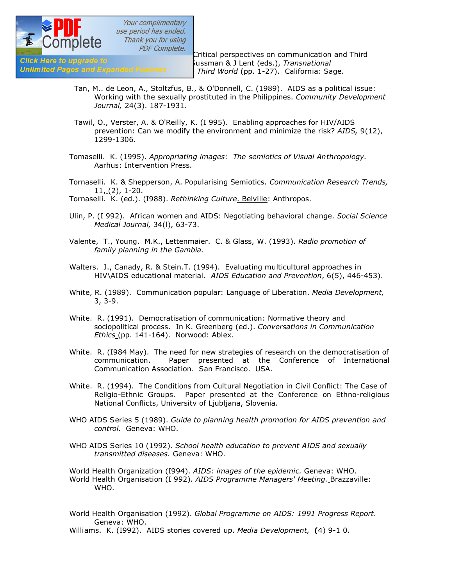

 $\frac{1}{\text{SUSR}}$  COTTIPICTC  $\frac{1}{\text{PDF} \text{Complete}}$ .<br>Critical perspectives on communication and Third<br>Sussman & 11ent (eds.). Transnational Glick Here to upgrade to **Click development of the Sussman & J** Lent (eds.), *Transnational*<br>Unlimited Pages and Expanded Features **Bullet In Third World (pp. 1-27)** California: Sa *communications: Wiring the Third World* (pp. 1-27). California: Sage.

- Tan, M.. de Leon, A., Stoltzfus, B., & O'Donnell, C. (1989). AIDS as a political issue: Working with the sexually prostituted in the Philippines. *Community Development Journal,* 24(3). 187-1931.
- Tawil, O., Verster, A. & O'Reilly, K. (I 995). Enabling approaches for HIV/AIDS prevention: Can we modify the environment and minimize the risk? *AIDS,* 9(12), 1299-1306.
- Tomaselli. K. (1995). *Appropriating images: The semiotics of Visual Anthropology.* Aarhus: Intervention Press.
- Tornaselli. K. & Shepperson, A. Popularising Semiotics. *Communication Research Trends,* 11, (2), 1-20.

Tornaselli. K. (ed.). (I988). *Rethinking Culture.* Belville: Anthropos.

- Ulin, P. (I 992). African women and AIDS: Negotiating behavioral change. *Social Science Medical Journal,* 34(l), 63-73.
- Valente, T., Young. M.K., Lettenmaier. C. & Glass, W. (1993). *Radio promotion of family planning in the Gambia.*
- Walters. J., Canady, R. & Stein.T. (1994). Evaluating multicultural approaches in HIV\AIDS educational material. *AIDS Education and Prevention*, 6(5), 446-453).
- White, R. (1989). Communication popular: Language of Liberation. *Media Development,* 3, 3-9.
- White. R. (1991). Democratisation of communication: Normative theory and sociopolitical process. In K. Greenberg (ed.). *Conversations in Communication Ethics* (pp. 141-164). Norwood: Ablex.
- White. R. (I984 May). The need for new strategies of research on the democratisation of communication. Paper presented at the Conference of International Communication Association. San Francisco. USA.
- White. R. (1994). The Conditions from Cultural Negotiation in Civil Conflict: The Case of Religio-Ethnic Groups. Paper presented at the Conference on Ethno-religious National Conflicts, Universitv of Ljubljana, Slovenia.
- WHO AIDS Series 5 (1989). *Guide to planning health promotion for AIDS prevention and control.*Geneva: WHO.
- WHO AIDS Series 10 (1992). *School health education to prevent AIDS and sexually transmitted diseases.* Geneva: WHO.

World Health Organization (I994). *AIDS: images of the epidemic.* Geneva: WHO. World Health Organisation (I 992). *AIDS Programme Managers' Meeting.* Brazzaville: WHO.

World Health Organisation (1992). *Global Programme on AIDS: 1991 Progress Report.*  Geneva: WHO.

Williams. K. (I992). AIDS stories covered up. *Media Development,* **(**4) 9-1 0.